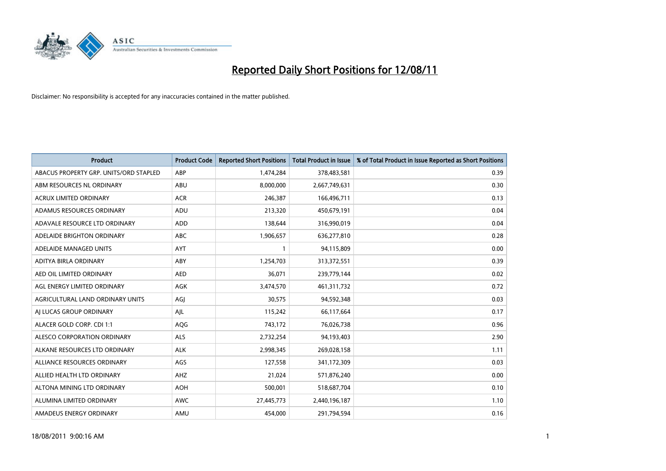

| <b>Product</b>                         | <b>Product Code</b> | <b>Reported Short Positions</b> | <b>Total Product in Issue</b> | % of Total Product in Issue Reported as Short Positions |
|----------------------------------------|---------------------|---------------------------------|-------------------------------|---------------------------------------------------------|
| ABACUS PROPERTY GRP. UNITS/ORD STAPLED | ABP                 | 1,474,284                       | 378,483,581                   | 0.39                                                    |
| ABM RESOURCES NL ORDINARY              | <b>ABU</b>          | 8,000,000                       | 2,667,749,631                 | 0.30                                                    |
| ACRUX LIMITED ORDINARY                 | <b>ACR</b>          | 246,387                         | 166,496,711                   | 0.13                                                    |
| ADAMUS RESOURCES ORDINARY              | ADU                 | 213,320                         | 450,679,191                   | 0.04                                                    |
| ADAVALE RESOURCE LTD ORDINARY          | <b>ADD</b>          | 138,644                         | 316,990,019                   | 0.04                                                    |
| ADELAIDE BRIGHTON ORDINARY             | <b>ABC</b>          | 1,906,657                       | 636,277,810                   | 0.28                                                    |
| ADELAIDE MANAGED UNITS                 | <b>AYT</b>          |                                 | 94,115,809                    | 0.00                                                    |
| ADITYA BIRLA ORDINARY                  | ABY                 | 1,254,703                       | 313,372,551                   | 0.39                                                    |
| AED OIL LIMITED ORDINARY               | <b>AED</b>          | 36,071                          | 239,779,144                   | 0.02                                                    |
| AGL ENERGY LIMITED ORDINARY            | <b>AGK</b>          | 3,474,570                       | 461,311,732                   | 0.72                                                    |
| AGRICULTURAL LAND ORDINARY UNITS       | AGJ                 | 30,575                          | 94,592,348                    | 0.03                                                    |
| AI LUCAS GROUP ORDINARY                | AJL                 | 115,242                         | 66,117,664                    | 0.17                                                    |
| ALACER GOLD CORP. CDI 1:1              | AQG                 | 743,172                         | 76,026,738                    | 0.96                                                    |
| ALESCO CORPORATION ORDINARY            | <b>ALS</b>          | 2,732,254                       | 94,193,403                    | 2.90                                                    |
| ALKANE RESOURCES LTD ORDINARY          | <b>ALK</b>          | 2,998,345                       | 269,028,158                   | 1.11                                                    |
| ALLIANCE RESOURCES ORDINARY            | AGS                 | 127,558                         | 341,172,309                   | 0.03                                                    |
| ALLIED HEALTH LTD ORDINARY             | AHZ                 | 21,024                          | 571,876,240                   | 0.00                                                    |
| ALTONA MINING LTD ORDINARY             | <b>AOH</b>          | 500,001                         | 518,687,704                   | 0.10                                                    |
| ALUMINA LIMITED ORDINARY               | AWC                 | 27,445,773                      | 2,440,196,187                 | 1.10                                                    |
| AMADEUS ENERGY ORDINARY                | AMU                 | 454,000                         | 291,794,594                   | 0.16                                                    |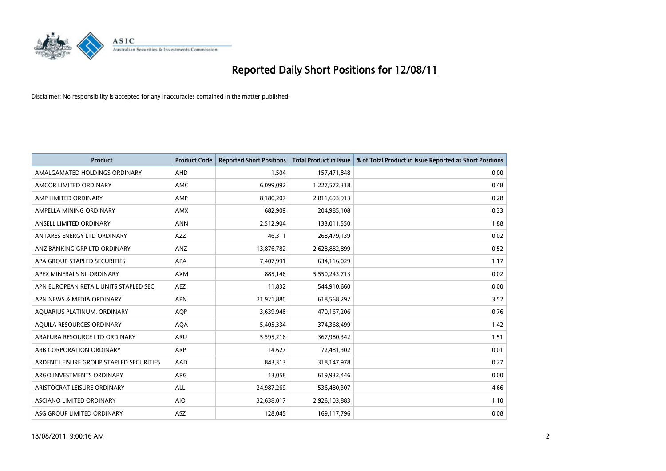

| <b>Product</b>                          | <b>Product Code</b> | <b>Reported Short Positions</b> | <b>Total Product in Issue</b> | % of Total Product in Issue Reported as Short Positions |
|-----------------------------------------|---------------------|---------------------------------|-------------------------------|---------------------------------------------------------|
| AMALGAMATED HOLDINGS ORDINARY           | AHD                 | 1,504                           | 157,471,848                   | 0.00                                                    |
| AMCOR LIMITED ORDINARY                  | <b>AMC</b>          | 6,099,092                       | 1,227,572,318                 | 0.48                                                    |
| AMP LIMITED ORDINARY                    | AMP                 | 8,180,207                       | 2,811,693,913                 | 0.28                                                    |
| AMPELLA MINING ORDINARY                 | <b>AMX</b>          | 682,909                         | 204,985,108                   | 0.33                                                    |
| ANSELL LIMITED ORDINARY                 | <b>ANN</b>          | 2,512,904                       | 133,011,550                   | 1.88                                                    |
| ANTARES ENERGY LTD ORDINARY             | <b>AZZ</b>          | 46,311                          | 268,479,139                   | 0.02                                                    |
| ANZ BANKING GRP LTD ORDINARY            | <b>ANZ</b>          | 13,876,782                      | 2,628,882,899                 | 0.52                                                    |
| APA GROUP STAPLED SECURITIES            | <b>APA</b>          | 7,407,991                       | 634,116,029                   | 1.17                                                    |
| APEX MINERALS NL ORDINARY               | <b>AXM</b>          | 885,146                         | 5,550,243,713                 | 0.02                                                    |
| APN EUROPEAN RETAIL UNITS STAPLED SEC.  | <b>AEZ</b>          | 11,832                          | 544,910,660                   | 0.00                                                    |
| APN NEWS & MEDIA ORDINARY               | <b>APN</b>          | 21,921,880                      | 618,568,292                   | 3.52                                                    |
| AQUARIUS PLATINUM. ORDINARY             | <b>AOP</b>          | 3,639,948                       | 470,167,206                   | 0.76                                                    |
| AQUILA RESOURCES ORDINARY               | <b>AQA</b>          | 5,405,334                       | 374,368,499                   | 1.42                                                    |
| ARAFURA RESOURCE LTD ORDINARY           | <b>ARU</b>          | 5,595,216                       | 367,980,342                   | 1.51                                                    |
| ARB CORPORATION ORDINARY                | <b>ARP</b>          | 14,627                          | 72,481,302                    | 0.01                                                    |
| ARDENT LEISURE GROUP STAPLED SECURITIES | AAD                 | 843,313                         | 318,147,978                   | 0.27                                                    |
| ARGO INVESTMENTS ORDINARY               | <b>ARG</b>          | 13,058                          | 619,932,446                   | 0.00                                                    |
| ARISTOCRAT LEISURE ORDINARY             | <b>ALL</b>          | 24,987,269                      | 536,480,307                   | 4.66                                                    |
| <b>ASCIANO LIMITED ORDINARY</b>         | <b>AIO</b>          | 32,638,017                      | 2,926,103,883                 | 1.10                                                    |
| ASG GROUP LIMITED ORDINARY              | <b>ASZ</b>          | 128.045                         | 169,117,796                   | 0.08                                                    |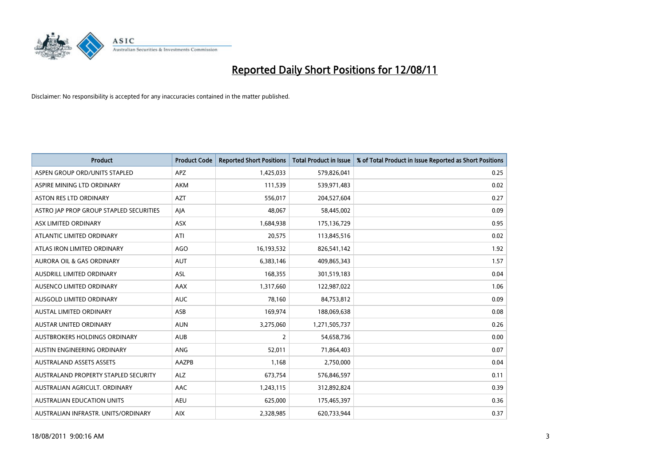

| <b>Product</b>                          | <b>Product Code</b> | <b>Reported Short Positions</b> | <b>Total Product in Issue</b> | % of Total Product in Issue Reported as Short Positions |
|-----------------------------------------|---------------------|---------------------------------|-------------------------------|---------------------------------------------------------|
| ASPEN GROUP ORD/UNITS STAPLED           | APZ                 | 1,425,033                       | 579,826,041                   | 0.25                                                    |
| ASPIRE MINING LTD ORDINARY              | <b>AKM</b>          | 111,539                         | 539,971,483                   | 0.02                                                    |
| <b>ASTON RES LTD ORDINARY</b>           | <b>AZT</b>          | 556,017                         | 204,527,604                   | 0.27                                                    |
| ASTRO JAP PROP GROUP STAPLED SECURITIES | AJA                 | 48,067                          | 58,445,002                    | 0.09                                                    |
| ASX LIMITED ORDINARY                    | <b>ASX</b>          | 1,684,938                       | 175,136,729                   | 0.95                                                    |
| ATLANTIC LIMITED ORDINARY               | ATI                 | 20,575                          | 113,845,516                   | 0.02                                                    |
| ATLAS IRON LIMITED ORDINARY             | <b>AGO</b>          | 16,193,532                      | 826,541,142                   | 1.92                                                    |
| AURORA OIL & GAS ORDINARY               | <b>AUT</b>          | 6,383,146                       | 409,865,343                   | 1.57                                                    |
| AUSDRILL LIMITED ORDINARY               | ASL                 | 168,355                         | 301,519,183                   | 0.04                                                    |
| AUSENCO LIMITED ORDINARY                | AAX                 | 1,317,660                       | 122,987,022                   | 1.06                                                    |
| AUSGOLD LIMITED ORDINARY                | <b>AUC</b>          | 78,160                          | 84,753,812                    | 0.09                                                    |
| <b>AUSTAL LIMITED ORDINARY</b>          | ASB                 | 169,974                         | 188,069,638                   | 0.08                                                    |
| AUSTAR UNITED ORDINARY                  | <b>AUN</b>          | 3,275,060                       | 1,271,505,737                 | 0.26                                                    |
| AUSTBROKERS HOLDINGS ORDINARY           | <b>AUB</b>          | $\overline{2}$                  | 54,658,736                    | 0.00                                                    |
| AUSTIN ENGINEERING ORDINARY             | ANG                 | 52,011                          | 71,864,403                    | 0.07                                                    |
| <b>AUSTRALAND ASSETS ASSETS</b>         | AAZPB               | 1,168                           | 2,750,000                     | 0.04                                                    |
| AUSTRALAND PROPERTY STAPLED SECURITY    | <b>ALZ</b>          | 673,754                         | 576,846,597                   | 0.11                                                    |
| AUSTRALIAN AGRICULT. ORDINARY           | AAC                 | 1,243,115                       | 312,892,824                   | 0.39                                                    |
| AUSTRALIAN EDUCATION UNITS              | <b>AEU</b>          | 625,000                         | 175,465,397                   | 0.36                                                    |
| AUSTRALIAN INFRASTR. UNITS/ORDINARY     | <b>AIX</b>          | 2,328,985                       | 620,733,944                   | 0.37                                                    |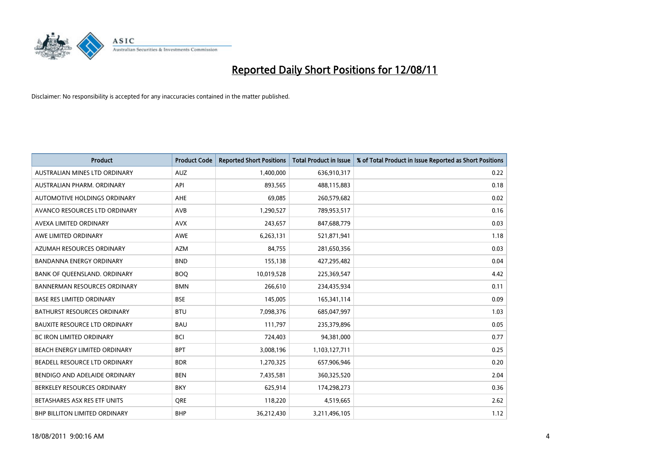

| <b>Product</b>                       | <b>Product Code</b> | <b>Reported Short Positions</b> | <b>Total Product in Issue</b> | % of Total Product in Issue Reported as Short Positions |
|--------------------------------------|---------------------|---------------------------------|-------------------------------|---------------------------------------------------------|
| AUSTRALIAN MINES LTD ORDINARY        | <b>AUZ</b>          | 1,400,000                       | 636,910,317                   | 0.22                                                    |
| AUSTRALIAN PHARM. ORDINARY           | API                 | 893,565                         | 488,115,883                   | 0.18                                                    |
| AUTOMOTIVE HOLDINGS ORDINARY         | <b>AHE</b>          | 69,085                          | 260,579,682                   | 0.02                                                    |
| AVANCO RESOURCES LTD ORDINARY        | <b>AVB</b>          | 1,290,527                       | 789,953,517                   | 0.16                                                    |
| AVEXA LIMITED ORDINARY               | <b>AVX</b>          | 243,657                         | 847,688,779                   | 0.03                                                    |
| AWE LIMITED ORDINARY                 | AWE                 | 6,263,131                       | 521,871,941                   | 1.18                                                    |
| AZUMAH RESOURCES ORDINARY            | <b>AZM</b>          | 84,755                          | 281,650,356                   | 0.03                                                    |
| <b>BANDANNA ENERGY ORDINARY</b>      | <b>BND</b>          | 155,138                         | 427,295,482                   | 0.04                                                    |
| BANK OF QUEENSLAND. ORDINARY         | <b>BOO</b>          | 10,019,528                      | 225,369,547                   | 4.42                                                    |
| <b>BANNERMAN RESOURCES ORDINARY</b>  | <b>BMN</b>          | 266,610                         | 234,435,934                   | 0.11                                                    |
| <b>BASE RES LIMITED ORDINARY</b>     | <b>BSE</b>          | 145,005                         | 165,341,114                   | 0.09                                                    |
| <b>BATHURST RESOURCES ORDINARY</b>   | <b>BTU</b>          | 7,098,376                       | 685,047,997                   | 1.03                                                    |
| <b>BAUXITE RESOURCE LTD ORDINARY</b> | <b>BAU</b>          | 111,797                         | 235,379,896                   | 0.05                                                    |
| <b>BC IRON LIMITED ORDINARY</b>      | <b>BCI</b>          | 724,403                         | 94,381,000                    | 0.77                                                    |
| BEACH ENERGY LIMITED ORDINARY        | <b>BPT</b>          | 3,008,196                       | 1,103,127,711                 | 0.25                                                    |
| BEADELL RESOURCE LTD ORDINARY        | <b>BDR</b>          | 1,270,325                       | 657,906,946                   | 0.20                                                    |
| BENDIGO AND ADELAIDE ORDINARY        | <b>BEN</b>          | 7,435,581                       | 360,325,520                   | 2.04                                                    |
| BERKELEY RESOURCES ORDINARY          | <b>BKY</b>          | 625,914                         | 174,298,273                   | 0.36                                                    |
| BETASHARES ASX RES ETF UNITS         | <b>ORE</b>          | 118,220                         | 4,519,665                     | 2.62                                                    |
| BHP BILLITON LIMITED ORDINARY        | <b>BHP</b>          | 36,212,430                      | 3,211,496,105                 | 1.12                                                    |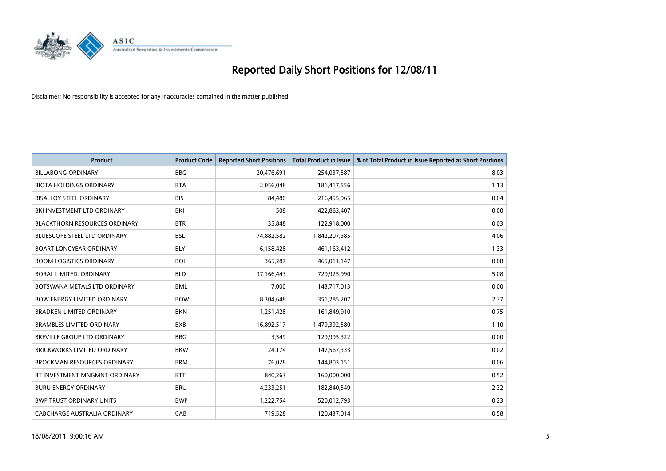

| <b>Product</b>                       | <b>Product Code</b> | <b>Reported Short Positions</b> | <b>Total Product in Issue</b> | % of Total Product in Issue Reported as Short Positions |
|--------------------------------------|---------------------|---------------------------------|-------------------------------|---------------------------------------------------------|
| <b>BILLABONG ORDINARY</b>            | <b>BBG</b>          | 20,476,691                      | 254,037,587                   | 8.03                                                    |
| <b>BIOTA HOLDINGS ORDINARY</b>       | <b>BTA</b>          | 2,056,048                       | 181,417,556                   | 1.13                                                    |
| <b>BISALLOY STEEL ORDINARY</b>       | <b>BIS</b>          | 84.480                          | 216,455,965                   | 0.04                                                    |
| BKI INVESTMENT LTD ORDINARY          | BKI                 | 508                             | 422,863,407                   | 0.00                                                    |
| <b>BLACKTHORN RESOURCES ORDINARY</b> | <b>BTR</b>          | 35,848                          | 122,918,000                   | 0.03                                                    |
| <b>BLUESCOPE STEEL LTD ORDINARY</b>  | <b>BSL</b>          | 74,882,582                      | 1,842,207,385                 | 4.06                                                    |
| <b>BOART LONGYEAR ORDINARY</b>       | <b>BLY</b>          | 6,158,428                       | 461,163,412                   | 1.33                                                    |
| <b>BOOM LOGISTICS ORDINARY</b>       | <b>BOL</b>          | 365,287                         | 465,011,147                   | 0.08                                                    |
| BORAL LIMITED, ORDINARY              | <b>BLD</b>          | 37,166,443                      | 729,925,990                   | 5.08                                                    |
| BOTSWANA METALS LTD ORDINARY         | <b>BML</b>          | 7,000                           | 143,717,013                   | 0.00                                                    |
| BOW ENERGY LIMITED ORDINARY          | <b>BOW</b>          | 8,304,648                       | 351,285,207                   | 2.37                                                    |
| <b>BRADKEN LIMITED ORDINARY</b>      | <b>BKN</b>          | 1,251,428                       | 161,849,910                   | 0.75                                                    |
| <b>BRAMBLES LIMITED ORDINARY</b>     | <b>BXB</b>          | 16,892,517                      | 1,479,392,580                 | 1.10                                                    |
| <b>BREVILLE GROUP LTD ORDINARY</b>   | <b>BRG</b>          | 3,549                           | 129,995,322                   | 0.00                                                    |
| <b>BRICKWORKS LIMITED ORDINARY</b>   | <b>BKW</b>          | 24,174                          | 147,567,333                   | 0.02                                                    |
| <b>BROCKMAN RESOURCES ORDINARY</b>   | <b>BRM</b>          | 76,028                          | 144,803,151                   | 0.06                                                    |
| BT INVESTMENT MNGMNT ORDINARY        | <b>BTT</b>          | 840,263                         | 160,000,000                   | 0.52                                                    |
| <b>BURU ENERGY ORDINARY</b>          | <b>BRU</b>          | 4,233,251                       | 182,840,549                   | 2.32                                                    |
| <b>BWP TRUST ORDINARY UNITS</b>      | <b>BWP</b>          | 1,222,754                       | 520,012,793                   | 0.23                                                    |
| CABCHARGE AUSTRALIA ORDINARY         | CAB                 | 719,528                         | 120,437,014                   | 0.58                                                    |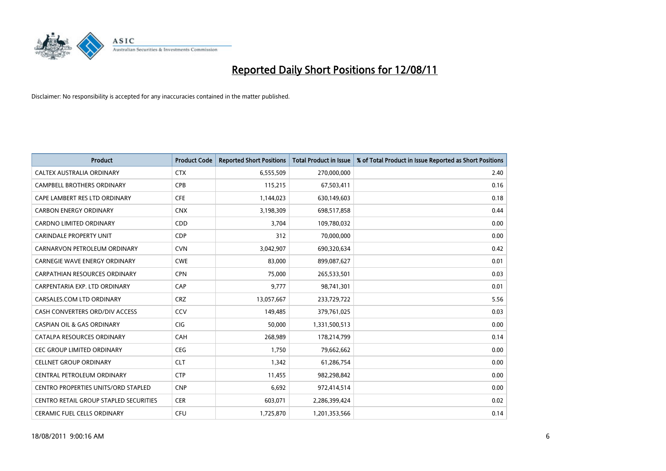

| <b>Product</b>                                | <b>Product Code</b> | <b>Reported Short Positions</b> | <b>Total Product in Issue</b> | % of Total Product in Issue Reported as Short Positions |
|-----------------------------------------------|---------------------|---------------------------------|-------------------------------|---------------------------------------------------------|
| CALTEX AUSTRALIA ORDINARY                     | <b>CTX</b>          | 6,555,509                       | 270,000,000                   | 2.40                                                    |
| CAMPBELL BROTHERS ORDINARY                    | <b>CPB</b>          | 115,215                         | 67,503,411                    | 0.16                                                    |
| CAPE LAMBERT RES LTD ORDINARY                 | <b>CFE</b>          | 1,144,023                       | 630,149,603                   | 0.18                                                    |
| <b>CARBON ENERGY ORDINARY</b>                 | <b>CNX</b>          | 3,198,309                       | 698,517,858                   | 0.44                                                    |
| <b>CARDNO LIMITED ORDINARY</b>                | CDD                 | 3,704                           | 109,780,032                   | 0.00                                                    |
| <b>CARINDALE PROPERTY UNIT</b>                | <b>CDP</b>          | 312                             | 70,000,000                    | 0.00                                                    |
| CARNARVON PETROLEUM ORDINARY                  | <b>CVN</b>          | 3,042,907                       | 690,320,634                   | 0.42                                                    |
| <b>CARNEGIE WAVE ENERGY ORDINARY</b>          | <b>CWE</b>          | 83,000                          | 899,087,627                   | 0.01                                                    |
| CARPATHIAN RESOURCES ORDINARY                 | <b>CPN</b>          | 75,000                          | 265,533,501                   | 0.03                                                    |
| CARPENTARIA EXP. LTD ORDINARY                 | CAP                 | 9,777                           | 98,741,301                    | 0.01                                                    |
| CARSALES.COM LTD ORDINARY                     | <b>CRZ</b>          | 13,057,667                      | 233,729,722                   | 5.56                                                    |
| CASH CONVERTERS ORD/DIV ACCESS                | <b>CCV</b>          | 149,485                         | 379,761,025                   | 0.03                                                    |
| <b>CASPIAN OIL &amp; GAS ORDINARY</b>         | <b>CIG</b>          | 50,000                          | 1,331,500,513                 | 0.00                                                    |
| CATALPA RESOURCES ORDINARY                    | CAH                 | 268,989                         | 178,214,799                   | 0.14                                                    |
| <b>CEC GROUP LIMITED ORDINARY</b>             | <b>CEG</b>          | 1,750                           | 79,662,662                    | 0.00                                                    |
| <b>CELLNET GROUP ORDINARY</b>                 | <b>CLT</b>          | 1.342                           | 61,286,754                    | 0.00                                                    |
| CENTRAL PETROLEUM ORDINARY                    | <b>CTP</b>          | 11,455                          | 982,298,842                   | 0.00                                                    |
| CENTRO PROPERTIES UNITS/ORD STAPLED           | <b>CNP</b>          | 6,692                           | 972,414,514                   | 0.00                                                    |
| <b>CENTRO RETAIL GROUP STAPLED SECURITIES</b> | <b>CER</b>          | 603,071                         | 2,286,399,424                 | 0.02                                                    |
| CERAMIC FUEL CELLS ORDINARY                   | CFU                 | 1,725,870                       | 1,201,353,566                 | 0.14                                                    |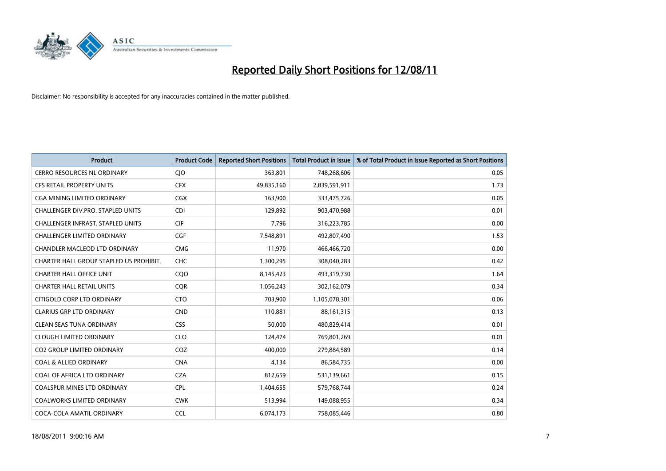

| <b>Product</b>                           | <b>Product Code</b> | <b>Reported Short Positions</b> | <b>Total Product in Issue</b> | % of Total Product in Issue Reported as Short Positions |
|------------------------------------------|---------------------|---------------------------------|-------------------------------|---------------------------------------------------------|
| <b>CERRO RESOURCES NL ORDINARY</b>       | CJO                 | 363,801                         | 748,268,606                   | 0.05                                                    |
| CFS RETAIL PROPERTY UNITS                | <b>CFX</b>          | 49,835,160                      | 2,839,591,911                 | 1.73                                                    |
| CGA MINING LIMITED ORDINARY              | <b>CGX</b>          | 163,900                         | 333,475,726                   | 0.05                                                    |
| CHALLENGER DIV.PRO. STAPLED UNITS        | <b>CDI</b>          | 129,892                         | 903,470,988                   | 0.01                                                    |
| <b>CHALLENGER INFRAST, STAPLED UNITS</b> | <b>CIF</b>          | 7,796                           | 316,223,785                   | 0.00                                                    |
| <b>CHALLENGER LIMITED ORDINARY</b>       | CGF                 | 7,548,891                       | 492,807,490                   | 1.53                                                    |
| CHANDLER MACLEOD LTD ORDINARY            | <b>CMG</b>          | 11,970                          | 466,466,720                   | 0.00                                                    |
| CHARTER HALL GROUP STAPLED US PROHIBIT.  | <b>CHC</b>          | 1,300,295                       | 308,040,283                   | 0.42                                                    |
| <b>CHARTER HALL OFFICE UNIT</b>          | CQ <sub>O</sub>     | 8,145,423                       | 493,319,730                   | 1.64                                                    |
| <b>CHARTER HALL RETAIL UNITS</b>         | <b>CQR</b>          | 1,056,243                       | 302,162,079                   | 0.34                                                    |
| CITIGOLD CORP LTD ORDINARY               | <b>CTO</b>          | 703,900                         | 1,105,078,301                 | 0.06                                                    |
| <b>CLARIUS GRP LTD ORDINARY</b>          | <b>CND</b>          | 110,881                         | 88,161,315                    | 0.13                                                    |
| <b>CLEAN SEAS TUNA ORDINARY</b>          | CSS                 | 50,000                          | 480,829,414                   | 0.01                                                    |
| <b>CLOUGH LIMITED ORDINARY</b>           | <b>CLO</b>          | 124,474                         | 769,801,269                   | 0.01                                                    |
| <b>CO2 GROUP LIMITED ORDINARY</b>        | COZ                 | 400,000                         | 279,884,589                   | 0.14                                                    |
| <b>COAL &amp; ALLIED ORDINARY</b>        | <b>CNA</b>          | 4,134                           | 86,584,735                    | 0.00                                                    |
| COAL OF AFRICA LTD ORDINARY              | <b>CZA</b>          | 812,659                         | 531,139,661                   | 0.15                                                    |
| COALSPUR MINES LTD ORDINARY              | <b>CPL</b>          | 1,404,655                       | 579,768,744                   | 0.24                                                    |
| <b>COALWORKS LIMITED ORDINARY</b>        | <b>CWK</b>          | 513,994                         | 149,088,955                   | 0.34                                                    |
| COCA-COLA AMATIL ORDINARY                | <b>CCL</b>          | 6,074,173                       | 758,085,446                   | 0.80                                                    |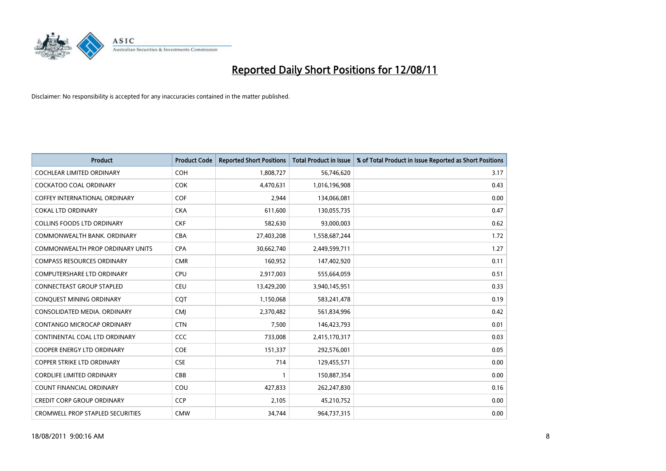

| <b>Product</b>                          | <b>Product Code</b> | <b>Reported Short Positions</b> | <b>Total Product in Issue</b> | % of Total Product in Issue Reported as Short Positions |
|-----------------------------------------|---------------------|---------------------------------|-------------------------------|---------------------------------------------------------|
| <b>COCHLEAR LIMITED ORDINARY</b>        | <b>COH</b>          | 1,808,727                       | 56,746,620                    | 3.17                                                    |
| COCKATOO COAL ORDINARY                  | <b>COK</b>          | 4,470,631                       | 1,016,196,908                 | 0.43                                                    |
| <b>COFFEY INTERNATIONAL ORDINARY</b>    | <b>COF</b>          | 2,944                           | 134,066,081                   | 0.00                                                    |
| <b>COKAL LTD ORDINARY</b>               | <b>CKA</b>          | 611,600                         | 130,055,735                   | 0.47                                                    |
| <b>COLLINS FOODS LTD ORDINARY</b>       | <b>CKF</b>          | 582,630                         | 93,000,003                    | 0.62                                                    |
| COMMONWEALTH BANK, ORDINARY             | <b>CBA</b>          | 27,403,208                      | 1,558,687,244                 | 1.72                                                    |
| COMMONWEALTH PROP ORDINARY UNITS        | <b>CPA</b>          | 30,662,740                      | 2,449,599,711                 | 1.27                                                    |
| <b>COMPASS RESOURCES ORDINARY</b>       | <b>CMR</b>          | 160,952                         | 147,402,920                   | 0.11                                                    |
| COMPUTERSHARE LTD ORDINARY              | <b>CPU</b>          | 2,917,003                       | 555,664,059                   | 0.51                                                    |
| <b>CONNECTEAST GROUP STAPLED</b>        | <b>CEU</b>          | 13,429,200                      | 3,940,145,951                 | 0.33                                                    |
| CONQUEST MINING ORDINARY                | CQT                 | 1,150,068                       | 583,241,478                   | 0.19                                                    |
| CONSOLIDATED MEDIA, ORDINARY            | <b>CMI</b>          | 2,370,482                       | 561,834,996                   | 0.42                                                    |
| CONTANGO MICROCAP ORDINARY              | <b>CTN</b>          | 7,500                           | 146,423,793                   | 0.01                                                    |
| CONTINENTAL COAL LTD ORDINARY           | CCC                 | 733,008                         | 2,415,170,317                 | 0.03                                                    |
| <b>COOPER ENERGY LTD ORDINARY</b>       | <b>COE</b>          | 151,337                         | 292,576,001                   | 0.05                                                    |
| <b>COPPER STRIKE LTD ORDINARY</b>       | <b>CSE</b>          | 714                             | 129,455,571                   | 0.00                                                    |
| <b>CORDLIFE LIMITED ORDINARY</b>        | CBB                 |                                 | 150,887,354                   | 0.00                                                    |
| COUNT FINANCIAL ORDINARY                | COU                 | 427,833                         | 262,247,830                   | 0.16                                                    |
| <b>CREDIT CORP GROUP ORDINARY</b>       | <b>CCP</b>          | 2,105                           | 45,210,752                    | 0.00                                                    |
| <b>CROMWELL PROP STAPLED SECURITIES</b> | <b>CMW</b>          | 34,744                          | 964,737,315                   | 0.00                                                    |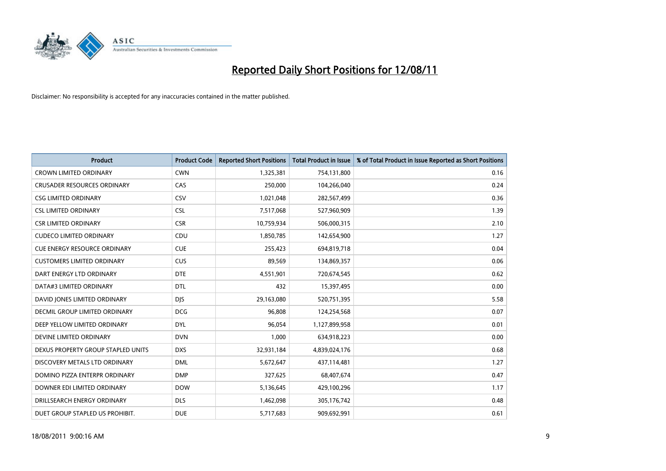

| <b>Product</b>                       | <b>Product Code</b> | <b>Reported Short Positions</b> | <b>Total Product in Issue</b> | % of Total Product in Issue Reported as Short Positions |
|--------------------------------------|---------------------|---------------------------------|-------------------------------|---------------------------------------------------------|
| <b>CROWN LIMITED ORDINARY</b>        | <b>CWN</b>          | 1,325,381                       | 754,131,800                   | 0.16                                                    |
| <b>CRUSADER RESOURCES ORDINARY</b>   | CAS                 | 250,000                         | 104,266,040                   | 0.24                                                    |
| <b>CSG LIMITED ORDINARY</b>          | CSV                 | 1,021,048                       | 282,567,499                   | 0.36                                                    |
| <b>CSL LIMITED ORDINARY</b>          | <b>CSL</b>          | 7,517,068                       | 527,960,909                   | 1.39                                                    |
| <b>CSR LIMITED ORDINARY</b>          | <b>CSR</b>          | 10,759,934                      | 506,000,315                   | 2.10                                                    |
| <b>CUDECO LIMITED ORDINARY</b>       | CDU                 | 1,850,785                       | 142,654,900                   | 1.27                                                    |
| <b>CUE ENERGY RESOURCE ORDINARY</b>  | <b>CUE</b>          | 255,423                         | 694,819,718                   | 0.04                                                    |
| <b>CUSTOMERS LIMITED ORDINARY</b>    | <b>CUS</b>          | 89,569                          | 134,869,357                   | 0.06                                                    |
| DART ENERGY LTD ORDINARY             | <b>DTE</b>          | 4,551,901                       | 720,674,545                   | 0.62                                                    |
| DATA#3 LIMITED ORDINARY              | <b>DTL</b>          | 432                             | 15,397,495                    | 0.00                                                    |
| DAVID JONES LIMITED ORDINARY         | <b>DJS</b>          | 29,163,080                      | 520,751,395                   | 5.58                                                    |
| <b>DECMIL GROUP LIMITED ORDINARY</b> | <b>DCG</b>          | 96,808                          | 124,254,568                   | 0.07                                                    |
| DEEP YELLOW LIMITED ORDINARY         | <b>DYL</b>          | 96,054                          | 1,127,899,958                 | 0.01                                                    |
| DEVINE LIMITED ORDINARY              | <b>DVN</b>          | 1,000                           | 634,918,223                   | 0.00                                                    |
| DEXUS PROPERTY GROUP STAPLED UNITS   | <b>DXS</b>          | 32,931,184                      | 4,839,024,176                 | 0.68                                                    |
| DISCOVERY METALS LTD ORDINARY        | <b>DML</b>          | 5,672,647                       | 437,114,481                   | 1.27                                                    |
| DOMINO PIZZA ENTERPR ORDINARY        | <b>DMP</b>          | 327,625                         | 68,407,674                    | 0.47                                                    |
| DOWNER EDI LIMITED ORDINARY          | <b>DOW</b>          | 5,136,645                       | 429,100,296                   | 1.17                                                    |
| DRILLSEARCH ENERGY ORDINARY          | <b>DLS</b>          | 1,462,098                       | 305,176,742                   | 0.48                                                    |
| DUET GROUP STAPLED US PROHIBIT.      | <b>DUE</b>          | 5,717,683                       | 909,692,991                   | 0.61                                                    |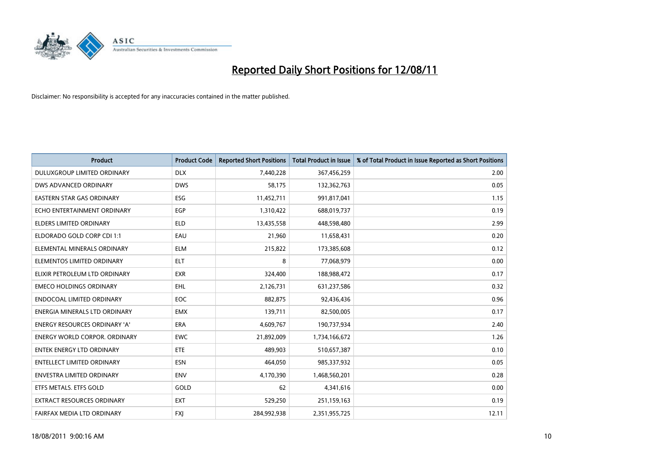

| <b>Product</b>                       | <b>Product Code</b> | <b>Reported Short Positions</b> | <b>Total Product in Issue</b> | % of Total Product in Issue Reported as Short Positions |
|--------------------------------------|---------------------|---------------------------------|-------------------------------|---------------------------------------------------------|
| DULUXGROUP LIMITED ORDINARY          | <b>DLX</b>          | 7,440,228                       | 367,456,259                   | 2.00                                                    |
| DWS ADVANCED ORDINARY                | <b>DWS</b>          | 58,175                          | 132,362,763                   | 0.05                                                    |
| EASTERN STAR GAS ORDINARY            | ESG                 | 11,452,711                      | 991,817,041                   | 1.15                                                    |
| ECHO ENTERTAINMENT ORDINARY          | EGP                 | 1,310,422                       | 688,019,737                   | 0.19                                                    |
| <b>ELDERS LIMITED ORDINARY</b>       | <b>ELD</b>          | 13,435,558                      | 448,598,480                   | 2.99                                                    |
| ELDORADO GOLD CORP CDI 1:1           | EAU                 | 21,960                          | 11,658,431                    | 0.20                                                    |
| ELEMENTAL MINERALS ORDINARY          | <b>ELM</b>          | 215,822                         | 173,385,608                   | 0.12                                                    |
| ELEMENTOS LIMITED ORDINARY           | <b>ELT</b>          | 8                               | 77,068,979                    | 0.00                                                    |
| ELIXIR PETROLEUM LTD ORDINARY        | <b>EXR</b>          | 324,400                         | 188,988,472                   | 0.17                                                    |
| <b>EMECO HOLDINGS ORDINARY</b>       | <b>EHL</b>          | 2,126,731                       | 631,237,586                   | 0.32                                                    |
| ENDOCOAL LIMITED ORDINARY            | <b>EOC</b>          | 882,875                         | 92,436,436                    | 0.96                                                    |
| ENERGIA MINERALS LTD ORDINARY        | <b>EMX</b>          | 139,711                         | 82,500,005                    | 0.17                                                    |
| ENERGY RESOURCES ORDINARY 'A'        | <b>ERA</b>          | 4,609,767                       | 190,737,934                   | 2.40                                                    |
| <b>ENERGY WORLD CORPOR. ORDINARY</b> | <b>EWC</b>          | 21,892,009                      | 1,734,166,672                 | 1.26                                                    |
| <b>ENTEK ENERGY LTD ORDINARY</b>     | ETE                 | 489.903                         | 510,657,387                   | 0.10                                                    |
| ENTELLECT LIMITED ORDINARY           | <b>ESN</b>          | 464,050                         | 985,337,932                   | 0.05                                                    |
| ENVESTRA LIMITED ORDINARY            | <b>ENV</b>          | 4,170,390                       | 1,468,560,201                 | 0.28                                                    |
| ETFS METALS. ETFS GOLD               | GOLD                | 62                              | 4,341,616                     | 0.00                                                    |
| EXTRACT RESOURCES ORDINARY           | <b>EXT</b>          | 529,250                         | 251,159,163                   | 0.19                                                    |
| FAIRFAX MEDIA LTD ORDINARY           | <b>FXI</b>          | 284,992,938                     | 2,351,955,725                 | 12.11                                                   |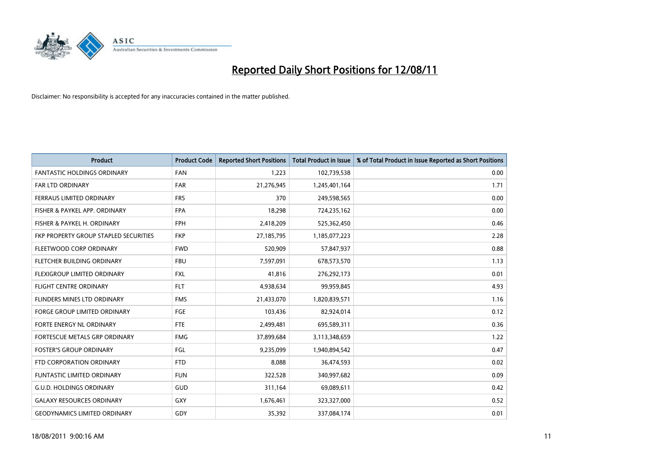

| <b>Product</b>                        | <b>Product Code</b> | <b>Reported Short Positions</b> | Total Product in Issue | % of Total Product in Issue Reported as Short Positions |
|---------------------------------------|---------------------|---------------------------------|------------------------|---------------------------------------------------------|
| <b>FANTASTIC HOLDINGS ORDINARY</b>    | <b>FAN</b>          | 1,223                           | 102,739,538            | 0.00                                                    |
| FAR LTD ORDINARY                      | <b>FAR</b>          | 21,276,945                      | 1,245,401,164          | 1.71                                                    |
| FERRAUS LIMITED ORDINARY              | <b>FRS</b>          | 370                             | 249,598,565            | 0.00                                                    |
| FISHER & PAYKEL APP. ORDINARY         | <b>FPA</b>          | 18,298                          | 724,235,162            | 0.00                                                    |
| FISHER & PAYKEL H. ORDINARY           | <b>FPH</b>          | 2,418,209                       | 525,362,450            | 0.46                                                    |
| FKP PROPERTY GROUP STAPLED SECURITIES | <b>FKP</b>          | 27,185,795                      | 1,185,077,223          | 2.28                                                    |
| FLEETWOOD CORP ORDINARY               | <b>FWD</b>          | 520,909                         | 57,847,937             | 0.88                                                    |
| FLETCHER BUILDING ORDINARY            | <b>FBU</b>          | 7,597,091                       | 678,573,570            | 1.13                                                    |
| FLEXIGROUP LIMITED ORDINARY           | <b>FXL</b>          | 41,816                          | 276,292,173            | 0.01                                                    |
| <b>FLIGHT CENTRE ORDINARY</b>         | <b>FLT</b>          | 4,938,634                       | 99,959,845             | 4.93                                                    |
| FLINDERS MINES LTD ORDINARY           | <b>FMS</b>          | 21,433,070                      | 1,820,839,571          | 1.16                                                    |
| <b>FORGE GROUP LIMITED ORDINARY</b>   | <b>FGE</b>          | 103,436                         | 82,924,014             | 0.12                                                    |
| FORTE ENERGY NL ORDINARY              | <b>FTE</b>          | 2,499,481                       | 695,589,311            | 0.36                                                    |
| <b>FORTESCUE METALS GRP ORDINARY</b>  | <b>FMG</b>          | 37,899,684                      | 3,113,348,659          | 1.22                                                    |
| <b>FOSTER'S GROUP ORDINARY</b>        | FGL                 | 9,235,099                       | 1,940,894,542          | 0.47                                                    |
| FTD CORPORATION ORDINARY              | <b>FTD</b>          | 8,088                           | 36,474,593             | 0.02                                                    |
| FUNTASTIC LIMITED ORDINARY            | <b>FUN</b>          | 322,528                         | 340,997,682            | 0.09                                                    |
| <b>G.U.D. HOLDINGS ORDINARY</b>       | GUD                 | 311,164                         | 69,089,611             | 0.42                                                    |
| <b>GALAXY RESOURCES ORDINARY</b>      | GXY                 | 1,676,461                       | 323,327,000            | 0.52                                                    |
| <b>GEODYNAMICS LIMITED ORDINARY</b>   | GDY                 | 35,392                          | 337,084,174            | 0.01                                                    |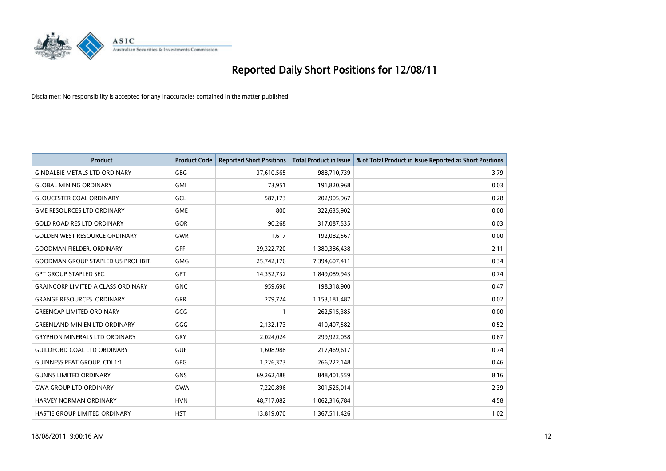

| <b>Product</b>                            | <b>Product Code</b> | <b>Reported Short Positions</b> | <b>Total Product in Issue</b> | % of Total Product in Issue Reported as Short Positions |
|-------------------------------------------|---------------------|---------------------------------|-------------------------------|---------------------------------------------------------|
| <b>GINDALBIE METALS LTD ORDINARY</b>      | <b>GBG</b>          | 37,610,565                      | 988,710,739                   | 3.79                                                    |
| <b>GLOBAL MINING ORDINARY</b>             | <b>GMI</b>          | 73,951                          | 191,820,968                   | 0.03                                                    |
| <b>GLOUCESTER COAL ORDINARY</b>           | GCL                 | 587,173                         | 202,905,967                   | 0.28                                                    |
| <b>GME RESOURCES LTD ORDINARY</b>         | <b>GME</b>          | 800                             | 322,635,902                   | 0.00                                                    |
| <b>GOLD ROAD RES LTD ORDINARY</b>         | GOR                 | 90,268                          | 317,087,535                   | 0.03                                                    |
| <b>GOLDEN WEST RESOURCE ORDINARY</b>      | <b>GWR</b>          | 1,617                           | 192,082,567                   | 0.00                                                    |
| <b>GOODMAN FIELDER, ORDINARY</b>          | <b>GFF</b>          | 29,322,720                      | 1,380,386,438                 | 2.11                                                    |
| <b>GOODMAN GROUP STAPLED US PROHIBIT.</b> | <b>GMG</b>          | 25,742,176                      | 7,394,607,411                 | 0.34                                                    |
| <b>GPT GROUP STAPLED SEC.</b>             | <b>GPT</b>          | 14,352,732                      | 1,849,089,943                 | 0.74                                                    |
| <b>GRAINCORP LIMITED A CLASS ORDINARY</b> | <b>GNC</b>          | 959,696                         | 198,318,900                   | 0.47                                                    |
| <b>GRANGE RESOURCES. ORDINARY</b>         | <b>GRR</b>          | 279,724                         | 1,153,181,487                 | 0.02                                                    |
| <b>GREENCAP LIMITED ORDINARY</b>          | GCG                 |                                 | 262,515,385                   | 0.00                                                    |
| <b>GREENLAND MIN EN LTD ORDINARY</b>      | GGG                 | 2,132,173                       | 410,407,582                   | 0.52                                                    |
| <b>GRYPHON MINERALS LTD ORDINARY</b>      | GRY                 | 2,024,024                       | 299,922,058                   | 0.67                                                    |
| <b>GUILDFORD COAL LTD ORDINARY</b>        | <b>GUF</b>          | 1,608,988                       | 217,469,617                   | 0.74                                                    |
| <b>GUINNESS PEAT GROUP. CDI 1:1</b>       | <b>GPG</b>          | 1,226,373                       | 266,222,148                   | 0.46                                                    |
| <b>GUNNS LIMITED ORDINARY</b>             | <b>GNS</b>          | 69,262,488                      | 848,401,559                   | 8.16                                                    |
| <b>GWA GROUP LTD ORDINARY</b>             | <b>GWA</b>          | 7,220,896                       | 301,525,014                   | 2.39                                                    |
| HARVEY NORMAN ORDINARY                    | <b>HVN</b>          | 48,717,082                      | 1,062,316,784                 | 4.58                                                    |
| HASTIE GROUP LIMITED ORDINARY             | <b>HST</b>          | 13,819,070                      | 1,367,511,426                 | 1.02                                                    |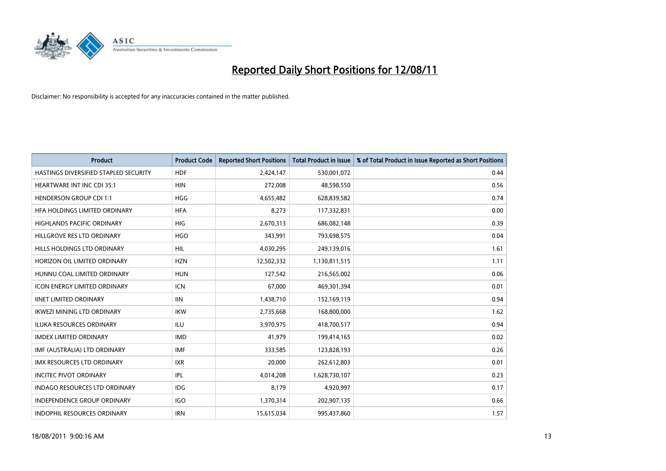

| <b>Product</b>                        | <b>Product Code</b> | <b>Reported Short Positions</b> | <b>Total Product in Issue</b> | % of Total Product in Issue Reported as Short Positions |
|---------------------------------------|---------------------|---------------------------------|-------------------------------|---------------------------------------------------------|
| HASTINGS DIVERSIFIED STAPLED SECURITY | <b>HDF</b>          | 2,424,147                       | 530,001,072                   | 0.44                                                    |
| <b>HEARTWARE INT INC CDI 35:1</b>     | <b>HIN</b>          | 272,008                         | 48,598,550                    | 0.56                                                    |
| <b>HENDERSON GROUP CDI 1:1</b>        | <b>HGG</b>          | 4,655,482                       | 628,839,582                   | 0.74                                                    |
| HFA HOLDINGS LIMITED ORDINARY         | <b>HFA</b>          | 8,273                           | 117,332,831                   | 0.00                                                    |
| HIGHLANDS PACIFIC ORDINARY            | <b>HIG</b>          | 2,670,313                       | 686,082,148                   | 0.39                                                    |
| HILLGROVE RES LTD ORDINARY            | <b>HGO</b>          | 343,991                         | 793,698,575                   | 0.04                                                    |
| HILLS HOLDINGS LTD ORDINARY           | <b>HIL</b>          | 4,030,295                       | 249,139,016                   | 1.61                                                    |
| HORIZON OIL LIMITED ORDINARY          | <b>HZN</b>          | 12,502,332                      | 1,130,811,515                 | 1.11                                                    |
| HUNNU COAL LIMITED ORDINARY           | <b>HUN</b>          | 127,542                         | 216,565,002                   | 0.06                                                    |
| <b>ICON ENERGY LIMITED ORDINARY</b>   | <b>ICN</b>          | 67,000                          | 469,301,394                   | 0.01                                                    |
| <b>IINET LIMITED ORDINARY</b>         | <b>IIN</b>          | 1,438,710                       | 152,169,119                   | 0.94                                                    |
| <b>IKWEZI MINING LTD ORDINARY</b>     | <b>IKW</b>          | 2,735,668                       | 168,800,000                   | 1.62                                                    |
| <b>ILUKA RESOURCES ORDINARY</b>       | <b>ILU</b>          | 3,970,975                       | 418,700,517                   | 0.94                                                    |
| <b>IMDEX LIMITED ORDINARY</b>         | <b>IMD</b>          | 41,979                          | 199,414,165                   | 0.02                                                    |
| IMF (AUSTRALIA) LTD ORDINARY          | <b>IMF</b>          | 333,585                         | 123,828,193                   | 0.26                                                    |
| <b>IMX RESOURCES LTD ORDINARY</b>     | <b>IXR</b>          | 20,000                          | 262,612,803                   | 0.01                                                    |
| <b>INCITEC PIVOT ORDINARY</b>         | <b>IPL</b>          | 4,014,208                       | 1,628,730,107                 | 0.23                                                    |
| INDAGO RESOURCES LTD ORDINARY         | <b>IDG</b>          | 8,179                           | 4,920,997                     | 0.17                                                    |
| <b>INDEPENDENCE GROUP ORDINARY</b>    | <b>IGO</b>          | 1,370,314                       | 202,907,135                   | 0.66                                                    |
| <b>INDOPHIL RESOURCES ORDINARY</b>    | <b>IRN</b>          | 15,615,034                      | 995,437,860                   | 1.57                                                    |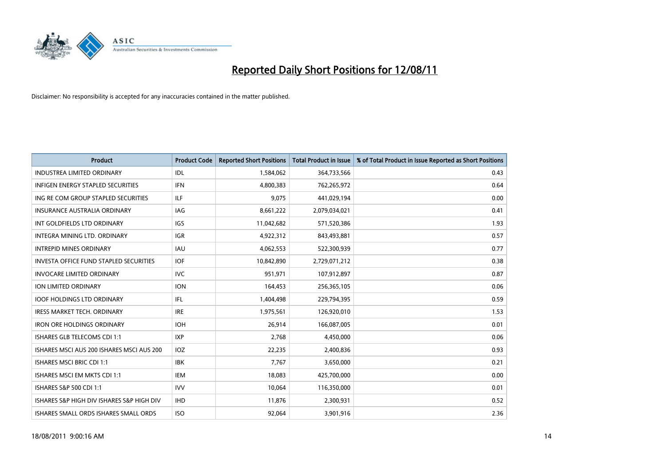

| <b>Product</b>                                | <b>Product Code</b> | <b>Reported Short Positions</b> | <b>Total Product in Issue</b> | % of Total Product in Issue Reported as Short Positions |
|-----------------------------------------------|---------------------|---------------------------------|-------------------------------|---------------------------------------------------------|
| <b>INDUSTREA LIMITED ORDINARY</b>             | IDL                 | 1,584,062                       | 364,733,566                   | 0.43                                                    |
| INFIGEN ENERGY STAPLED SECURITIES             | <b>IFN</b>          | 4,800,383                       | 762,265,972                   | 0.64                                                    |
| ING RE COM GROUP STAPLED SECURITIES           | ILF                 | 9.075                           | 441,029,194                   | 0.00                                                    |
| INSURANCE AUSTRALIA ORDINARY                  | IAG                 | 8,661,222                       | 2,079,034,021                 | 0.41                                                    |
| INT GOLDFIELDS LTD ORDINARY                   | <b>IGS</b>          | 11,042,682                      | 571,520,386                   | 1.93                                                    |
| INTEGRA MINING LTD, ORDINARY                  | <b>IGR</b>          | 4,922,312                       | 843,493,881                   | 0.57                                                    |
| <b>INTREPID MINES ORDINARY</b>                | <b>IAU</b>          | 4,062,553                       | 522,300,939                   | 0.77                                                    |
| <b>INVESTA OFFICE FUND STAPLED SECURITIES</b> | <b>IOF</b>          | 10,842,890                      | 2,729,071,212                 | 0.38                                                    |
| <b>INVOCARE LIMITED ORDINARY</b>              | <b>IVC</b>          | 951,971                         | 107,912,897                   | 0.87                                                    |
| <b>ION LIMITED ORDINARY</b>                   | <b>ION</b>          | 164,453                         | 256,365,105                   | 0.06                                                    |
| <b>IOOF HOLDINGS LTD ORDINARY</b>             | IFL                 | 1,404,498                       | 229,794,395                   | 0.59                                                    |
| <b>IRESS MARKET TECH. ORDINARY</b>            | <b>IRE</b>          | 1,975,561                       | 126,920,010                   | 1.53                                                    |
| <b>IRON ORE HOLDINGS ORDINARY</b>             | <b>IOH</b>          | 26,914                          | 166,087,005                   | 0.01                                                    |
| ISHARES GLB TELECOMS CDI 1:1                  | <b>IXP</b>          | 2,768                           | 4,450,000                     | 0.06                                                    |
| ISHARES MSCLAUS 200 ISHARES MSCLAUS 200       | IOZ                 | 22,235                          | 2,400,836                     | 0.93                                                    |
| <b>ISHARES MSCI BRIC CDI 1:1</b>              | <b>IBK</b>          | 7,767                           | 3,650,000                     | 0.21                                                    |
| ISHARES MSCI EM MKTS CDI 1:1                  | <b>IEM</b>          | 18,083                          | 425,700,000                   | 0.00                                                    |
| ISHARES S&P 500 CDI 1:1                       | <b>IVV</b>          | 10,064                          | 116,350,000                   | 0.01                                                    |
| ISHARES S&P HIGH DIV ISHARES S&P HIGH DIV     | <b>IHD</b>          | 11,876                          | 2,300,931                     | 0.52                                                    |
| ISHARES SMALL ORDS ISHARES SMALL ORDS         | <b>ISO</b>          | 92,064                          | 3,901,916                     | 2.36                                                    |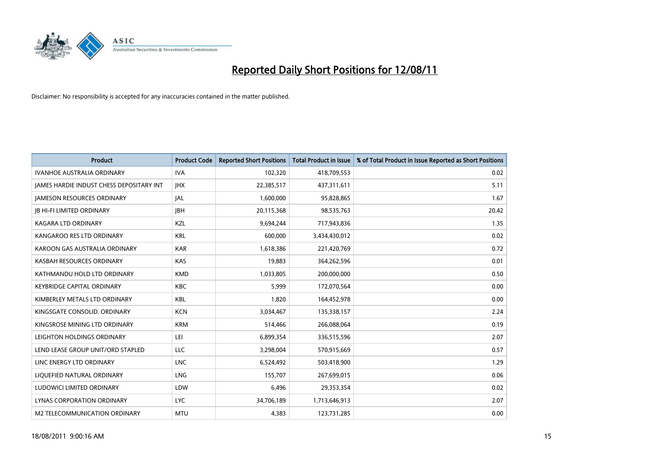

| <b>Product</b>                           | <b>Product Code</b> | <b>Reported Short Positions</b> | <b>Total Product in Issue</b> | % of Total Product in Issue Reported as Short Positions |
|------------------------------------------|---------------------|---------------------------------|-------------------------------|---------------------------------------------------------|
| <b>IVANHOE AUSTRALIA ORDINARY</b>        | <b>IVA</b>          | 102,320                         | 418,709,553                   | 0.02                                                    |
| JAMES HARDIE INDUST CHESS DEPOSITARY INT | <b>JHX</b>          | 22,385,517                      | 437,311,611                   | 5.11                                                    |
| <b>JAMESON RESOURCES ORDINARY</b>        | <b>JAL</b>          | 1,600,000                       | 95,828,865                    | 1.67                                                    |
| <b>IB HI-FI LIMITED ORDINARY</b>         | <b>IBH</b>          | 20,115,368                      | 98,535,763                    | 20.42                                                   |
| <b>KAGARA LTD ORDINARY</b>               | KZL                 | 9,694,244                       | 717,943,836                   | 1.35                                                    |
| KANGAROO RES LTD ORDINARY                | <b>KRL</b>          | 600,000                         | 3,434,430,012                 | 0.02                                                    |
| KAROON GAS AUSTRALIA ORDINARY            | <b>KAR</b>          | 1,618,386                       | 221,420,769                   | 0.72                                                    |
| KASBAH RESOURCES ORDINARY                | <b>KAS</b>          | 19,883                          | 364,262,596                   | 0.01                                                    |
| KATHMANDU HOLD LTD ORDINARY              | <b>KMD</b>          | 1,033,805                       | 200,000,000                   | 0.50                                                    |
| <b>KEYBRIDGE CAPITAL ORDINARY</b>        | <b>KBC</b>          | 5,999                           | 172,070,564                   | 0.00                                                    |
| KIMBERLEY METALS LTD ORDINARY            | <b>KBL</b>          | 1,820                           | 164,452,978                   | 0.00                                                    |
| KINGSGATE CONSOLID, ORDINARY             | <b>KCN</b>          | 3,034,467                       | 135,338,157                   | 2.24                                                    |
| KINGSROSE MINING LTD ORDINARY            | <b>KRM</b>          | 514,466                         | 266,088,064                   | 0.19                                                    |
| LEIGHTON HOLDINGS ORDINARY               | LEI                 | 6,899,354                       | 336,515,596                   | 2.07                                                    |
| LEND LEASE GROUP UNIT/ORD STAPLED        | <b>LLC</b>          | 3,298,004                       | 570,915,669                   | 0.57                                                    |
| LINC ENERGY LTD ORDINARY                 | <b>LNC</b>          | 6,524,492                       | 503,418,900                   | 1.29                                                    |
| LIQUEFIED NATURAL ORDINARY               | LNG                 | 155,707                         | 267,699,015                   | 0.06                                                    |
| LUDOWICI LIMITED ORDINARY                | LDW                 | 6,496                           | 29,353,354                    | 0.02                                                    |
| LYNAS CORPORATION ORDINARY               | <b>LYC</b>          | 34,706,189                      | 1,713,646,913                 | 2.07                                                    |
| M2 TELECOMMUNICATION ORDINARY            | <b>MTU</b>          | 4,383                           | 123,731,285                   | 0.00                                                    |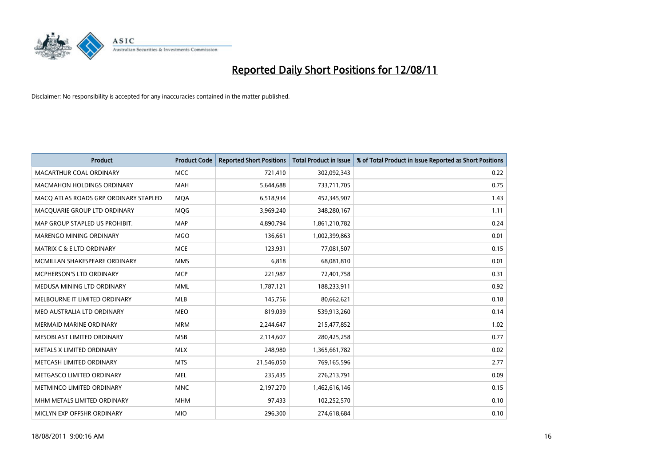

| <b>Product</b>                        | <b>Product Code</b> | <b>Reported Short Positions</b> | <b>Total Product in Issue</b> | % of Total Product in Issue Reported as Short Positions |
|---------------------------------------|---------------------|---------------------------------|-------------------------------|---------------------------------------------------------|
| MACARTHUR COAL ORDINARY               | <b>MCC</b>          | 721,410                         | 302,092,343                   | 0.22                                                    |
| <b>MACMAHON HOLDINGS ORDINARY</b>     | <b>MAH</b>          | 5,644,688                       | 733,711,705                   | 0.75                                                    |
| MACQ ATLAS ROADS GRP ORDINARY STAPLED | <b>MOA</b>          | 6,518,934                       | 452,345,907                   | 1.43                                                    |
| MACQUARIE GROUP LTD ORDINARY          | <b>MOG</b>          | 3,969,240                       | 348,280,167                   | 1.11                                                    |
| MAP GROUP STAPLED US PROHIBIT.        | <b>MAP</b>          | 4,890,794                       | 1,861,210,782                 | 0.24                                                    |
| MARENGO MINING ORDINARY               | <b>MGO</b>          | 136,661                         | 1,002,399,863                 | 0.01                                                    |
| <b>MATRIX C &amp; E LTD ORDINARY</b>  | <b>MCE</b>          | 123,931                         | 77,081,507                    | 0.15                                                    |
| MCMILLAN SHAKESPEARE ORDINARY         | <b>MMS</b>          | 6,818                           | 68,081,810                    | 0.01                                                    |
| MCPHERSON'S LTD ORDINARY              | <b>MCP</b>          | 221,987                         | 72,401,758                    | 0.31                                                    |
| MEDUSA MINING LTD ORDINARY            | <b>MML</b>          | 1,787,121                       | 188,233,911                   | 0.92                                                    |
| MELBOURNE IT LIMITED ORDINARY         | MLB                 | 145,756                         | 80,662,621                    | 0.18                                                    |
| MEO AUSTRALIA LTD ORDINARY            | <b>MEO</b>          | 819,039                         | 539,913,260                   | 0.14                                                    |
| <b>MERMAID MARINE ORDINARY</b>        | <b>MRM</b>          | 2,244,647                       | 215,477,852                   | 1.02                                                    |
| MESOBLAST LIMITED ORDINARY            | <b>MSB</b>          | 2,114,607                       | 280,425,258                   | 0.77                                                    |
| METALS X LIMITED ORDINARY             | <b>MLX</b>          | 248,980                         | 1,365,661,782                 | 0.02                                                    |
| METCASH LIMITED ORDINARY              | <b>MTS</b>          | 21,546,050                      | 769,165,596                   | 2.77                                                    |
| METGASCO LIMITED ORDINARY             | <b>MEL</b>          | 235,435                         | 276,213,791                   | 0.09                                                    |
| METMINCO LIMITED ORDINARY             | <b>MNC</b>          | 2,197,270                       | 1,462,616,146                 | 0.15                                                    |
| MHM METALS LIMITED ORDINARY           | <b>MHM</b>          | 97,433                          | 102,252,570                   | 0.10                                                    |
| MICLYN EXP OFFSHR ORDINARY            | <b>MIO</b>          | 296,300                         | 274,618,684                   | 0.10                                                    |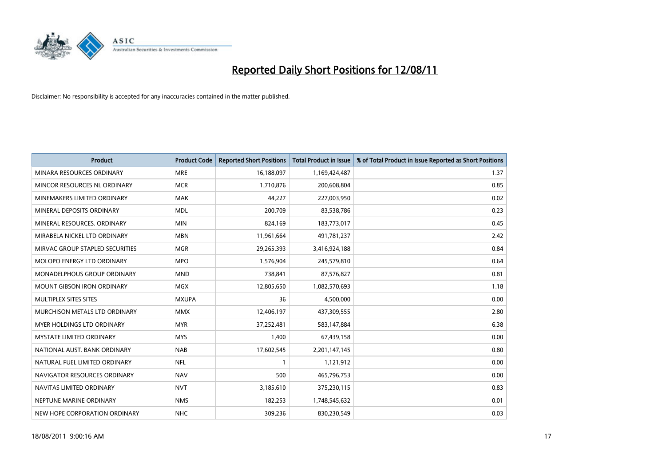

| <b>Product</b>                    | <b>Product Code</b> | <b>Reported Short Positions</b> | <b>Total Product in Issue</b> | % of Total Product in Issue Reported as Short Positions |
|-----------------------------------|---------------------|---------------------------------|-------------------------------|---------------------------------------------------------|
| MINARA RESOURCES ORDINARY         | <b>MRE</b>          | 16,188,097                      | 1,169,424,487                 | 1.37                                                    |
| MINCOR RESOURCES NL ORDINARY      | <b>MCR</b>          | 1,710,876                       | 200,608,804                   | 0.85                                                    |
| MINEMAKERS LIMITED ORDINARY       | <b>MAK</b>          | 44,227                          | 227,003,950                   | 0.02                                                    |
| MINERAL DEPOSITS ORDINARY         | <b>MDL</b>          | 200,709                         | 83,538,786                    | 0.23                                                    |
| MINERAL RESOURCES, ORDINARY       | <b>MIN</b>          | 824,169                         | 183,773,017                   | 0.45                                                    |
| MIRABELA NICKEL LTD ORDINARY      | <b>MBN</b>          | 11,961,664                      | 491,781,237                   | 2.42                                                    |
| MIRVAC GROUP STAPLED SECURITIES   | <b>MGR</b>          | 29,265,393                      | 3,416,924,188                 | 0.84                                                    |
| MOLOPO ENERGY LTD ORDINARY        | <b>MPO</b>          | 1,576,904                       | 245,579,810                   | 0.64                                                    |
| MONADELPHOUS GROUP ORDINARY       | <b>MND</b>          | 738,841                         | 87,576,827                    | 0.81                                                    |
| <b>MOUNT GIBSON IRON ORDINARY</b> | <b>MGX</b>          | 12,805,650                      | 1,082,570,693                 | 1.18                                                    |
| MULTIPLEX SITES SITES             | <b>MXUPA</b>        | 36                              | 4,500,000                     | 0.00                                                    |
| MURCHISON METALS LTD ORDINARY     | <b>MMX</b>          | 12,406,197                      | 437,309,555                   | 2.80                                                    |
| <b>MYER HOLDINGS LTD ORDINARY</b> | <b>MYR</b>          | 37,252,481                      | 583,147,884                   | 6.38                                                    |
| <b>MYSTATE LIMITED ORDINARY</b>   | <b>MYS</b>          | 1,400                           | 67,439,158                    | 0.00                                                    |
| NATIONAL AUST. BANK ORDINARY      | <b>NAB</b>          | 17,602,545                      | 2,201,147,145                 | 0.80                                                    |
| NATURAL FUEL LIMITED ORDINARY     | <b>NFL</b>          |                                 | 1,121,912                     | 0.00                                                    |
| NAVIGATOR RESOURCES ORDINARY      | <b>NAV</b>          | 500                             | 465,796,753                   | 0.00                                                    |
| NAVITAS LIMITED ORDINARY          | <b>NVT</b>          | 3,185,610                       | 375,230,115                   | 0.83                                                    |
| NEPTUNE MARINE ORDINARY           | <b>NMS</b>          | 182,253                         | 1,748,545,632                 | 0.01                                                    |
| NEW HOPE CORPORATION ORDINARY     | <b>NHC</b>          | 309.236                         | 830,230,549                   | 0.03                                                    |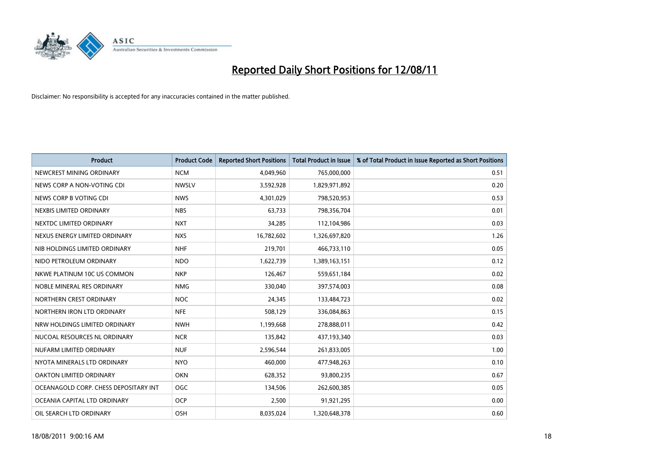

| <b>Product</b>                        | <b>Product Code</b> | <b>Reported Short Positions</b> | <b>Total Product in Issue</b> | % of Total Product in Issue Reported as Short Positions |
|---------------------------------------|---------------------|---------------------------------|-------------------------------|---------------------------------------------------------|
| NEWCREST MINING ORDINARY              | <b>NCM</b>          | 4,049,960                       | 765,000,000                   | 0.51                                                    |
| NEWS CORP A NON-VOTING CDI            | <b>NWSLV</b>        | 3,592,928                       | 1,829,971,892                 | 0.20                                                    |
| NEWS CORP B VOTING CDI                | <b>NWS</b>          | 4,301,029                       | 798,520,953                   | 0.53                                                    |
| NEXBIS LIMITED ORDINARY               | <b>NBS</b>          | 63,733                          | 798,356,704                   | 0.01                                                    |
| NEXTDC LIMITED ORDINARY               | <b>NXT</b>          | 34.285                          | 112,104,986                   | 0.03                                                    |
| NEXUS ENERGY LIMITED ORDINARY         | <b>NXS</b>          | 16,782,602                      | 1,326,697,820                 | 1.26                                                    |
| NIB HOLDINGS LIMITED ORDINARY         | <b>NHF</b>          | 219,701                         | 466,733,110                   | 0.05                                                    |
| NIDO PETROLEUM ORDINARY               | <b>NDO</b>          | 1,622,739                       | 1,389,163,151                 | 0.12                                                    |
| NKWE PLATINUM 10C US COMMON           | <b>NKP</b>          | 126,467                         | 559,651,184                   | 0.02                                                    |
| NOBLE MINERAL RES ORDINARY            | <b>NMG</b>          | 330,040                         | 397,574,003                   | 0.08                                                    |
| NORTHERN CREST ORDINARY               | <b>NOC</b>          | 24,345                          | 133,484,723                   | 0.02                                                    |
| NORTHERN IRON LTD ORDINARY            | <b>NFE</b>          | 508,129                         | 336,084,863                   | 0.15                                                    |
| NRW HOLDINGS LIMITED ORDINARY         | <b>NWH</b>          | 1,199,668                       | 278,888,011                   | 0.42                                                    |
| NUCOAL RESOURCES NL ORDINARY          | <b>NCR</b>          | 135,842                         | 437,193,340                   | 0.03                                                    |
| NUFARM LIMITED ORDINARY               | <b>NUF</b>          | 2,596,544                       | 261,833,005                   | 1.00                                                    |
| NYOTA MINERALS LTD ORDINARY           | <b>NYO</b>          | 460,000                         | 477,948,263                   | 0.10                                                    |
| <b>OAKTON LIMITED ORDINARY</b>        | <b>OKN</b>          | 628,352                         | 93,800,235                    | 0.67                                                    |
| OCEANAGOLD CORP. CHESS DEPOSITARY INT | <b>OGC</b>          | 134,506                         | 262,600,385                   | 0.05                                                    |
| OCEANIA CAPITAL LTD ORDINARY          | <b>OCP</b>          | 2,500                           | 91,921,295                    | 0.00                                                    |
| OIL SEARCH LTD ORDINARY               | OSH                 | 8,035,024                       | 1,320,648,378                 | 0.60                                                    |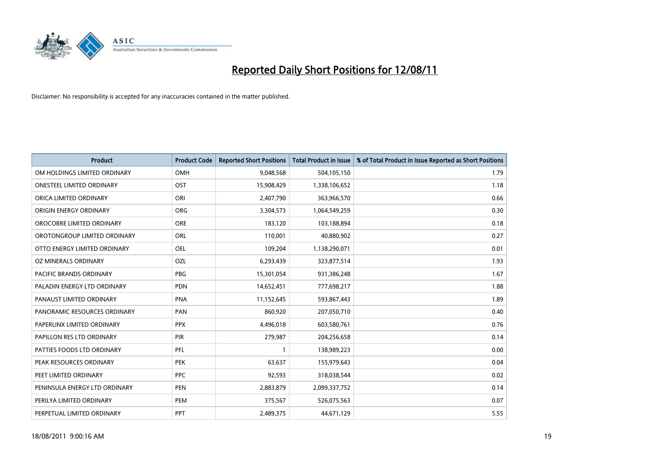

| <b>Product</b>                   | <b>Product Code</b> | <b>Reported Short Positions</b> | <b>Total Product in Issue</b> | % of Total Product in Issue Reported as Short Positions |
|----------------------------------|---------------------|---------------------------------|-------------------------------|---------------------------------------------------------|
| OM HOLDINGS LIMITED ORDINARY     | <b>OMH</b>          | 9,048,568                       | 504,105,150                   | 1.79                                                    |
| <b>ONESTEEL LIMITED ORDINARY</b> | OST                 | 15,908,429                      | 1,338,106,652                 | 1.18                                                    |
| ORICA LIMITED ORDINARY           | ORI                 | 2,407,790                       | 363,966,570                   | 0.66                                                    |
| ORIGIN ENERGY ORDINARY           | <b>ORG</b>          | 3,304,573                       | 1,064,549,259                 | 0.30                                                    |
| OROCOBRE LIMITED ORDINARY        | <b>ORE</b>          | 183,120                         | 103,188,894                   | 0.18                                                    |
| OROTONGROUP LIMITED ORDINARY     | <b>ORL</b>          | 110,001                         | 40,880,902                    | 0.27                                                    |
| OTTO ENERGY LIMITED ORDINARY     | OEL                 | 109,204                         | 1,138,290,071                 | 0.01                                                    |
| OZ MINERALS ORDINARY             | OZL                 | 6,293,439                       | 323,877,514                   | 1.93                                                    |
| PACIFIC BRANDS ORDINARY          | <b>PBG</b>          | 15,301,054                      | 931,386,248                   | 1.67                                                    |
| PALADIN ENERGY LTD ORDINARY      | <b>PDN</b>          | 14,652,451                      | 777,698,217                   | 1.88                                                    |
| PANAUST LIMITED ORDINARY         | <b>PNA</b>          | 11,152,645                      | 593,867,443                   | 1.89                                                    |
| PANORAMIC RESOURCES ORDINARY     | PAN                 | 860,920                         | 207,050,710                   | 0.40                                                    |
| PAPERLINX LIMITED ORDINARY       | <b>PPX</b>          | 4,496,018                       | 603,580,761                   | 0.76                                                    |
| PAPILLON RES LTD ORDINARY        | PIR                 | 279,987                         | 204,256,658                   | 0.14                                                    |
| PATTIES FOODS LTD ORDINARY       | PFL                 |                                 | 138,989,223                   | 0.00                                                    |
| PEAK RESOURCES ORDINARY          | <b>PEK</b>          | 63,637                          | 155,979,643                   | 0.04                                                    |
| PEET LIMITED ORDINARY            | <b>PPC</b>          | 92,593                          | 318,038,544                   | 0.02                                                    |
| PENINSULA ENERGY LTD ORDINARY    | <b>PEN</b>          | 2,883,879                       | 2,099,337,752                 | 0.14                                                    |
| PERILYA LIMITED ORDINARY         | PEM                 | 375,567                         | 526,075,563                   | 0.07                                                    |
| PERPETUAL LIMITED ORDINARY       | PPT                 | 2,489,375                       | 44,671,129                    | 5.55                                                    |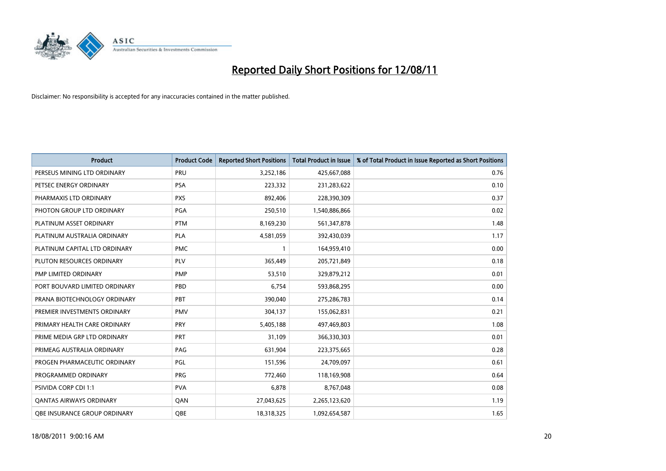

| <b>Product</b>                 | <b>Product Code</b> | <b>Reported Short Positions</b> | Total Product in Issue | % of Total Product in Issue Reported as Short Positions |
|--------------------------------|---------------------|---------------------------------|------------------------|---------------------------------------------------------|
| PERSEUS MINING LTD ORDINARY    | PRU                 | 3,252,186                       | 425,667,088            | 0.76                                                    |
| PETSEC ENERGY ORDINARY         | <b>PSA</b>          | 223,332                         | 231,283,622            | 0.10                                                    |
| PHARMAXIS LTD ORDINARY         | <b>PXS</b>          | 892,406                         | 228,390,309            | 0.37                                                    |
| PHOTON GROUP LTD ORDINARY      | <b>PGA</b>          | 250,510                         | 1,540,886,866          | 0.02                                                    |
| PLATINUM ASSET ORDINARY        | <b>PTM</b>          | 8,169,230                       | 561,347,878            | 1.48                                                    |
| PLATINUM AUSTRALIA ORDINARY    | PLA                 | 4,581,059                       | 392,430,039            | 1.17                                                    |
| PLATINUM CAPITAL LTD ORDINARY  | <b>PMC</b>          |                                 | 164,959,410            | 0.00                                                    |
| PLUTON RESOURCES ORDINARY      | PLV                 | 365,449                         | 205,721,849            | 0.18                                                    |
| PMP LIMITED ORDINARY           | <b>PMP</b>          | 53,510                          | 329,879,212            | 0.01                                                    |
| PORT BOUVARD LIMITED ORDINARY  | PBD                 | 6,754                           | 593,868,295            | 0.00                                                    |
| PRANA BIOTECHNOLOGY ORDINARY   | PBT                 | 390,040                         | 275,286,783            | 0.14                                                    |
| PREMIER INVESTMENTS ORDINARY   | <b>PMV</b>          | 304,137                         | 155,062,831            | 0.21                                                    |
| PRIMARY HEALTH CARE ORDINARY   | PRY                 | 5,405,188                       | 497,469,803            | 1.08                                                    |
| PRIME MEDIA GRP LTD ORDINARY   | PRT                 | 31,109                          | 366,330,303            | 0.01                                                    |
| PRIMEAG AUSTRALIA ORDINARY     | PAG                 | 631,904                         | 223,375,665            | 0.28                                                    |
| PROGEN PHARMACEUTIC ORDINARY   | PGL                 | 151,596                         | 24,709,097             | 0.61                                                    |
| PROGRAMMED ORDINARY            | <b>PRG</b>          | 772,460                         | 118,169,908            | 0.64                                                    |
| PSIVIDA CORP CDI 1:1           | <b>PVA</b>          | 6,878                           | 8,767,048              | 0.08                                                    |
| <b>QANTAS AIRWAYS ORDINARY</b> | QAN                 | 27,043,625                      | 2,265,123,620          | 1.19                                                    |
| OBE INSURANCE GROUP ORDINARY   | <b>OBE</b>          | 18,318,325                      | 1,092,654,587          | 1.65                                                    |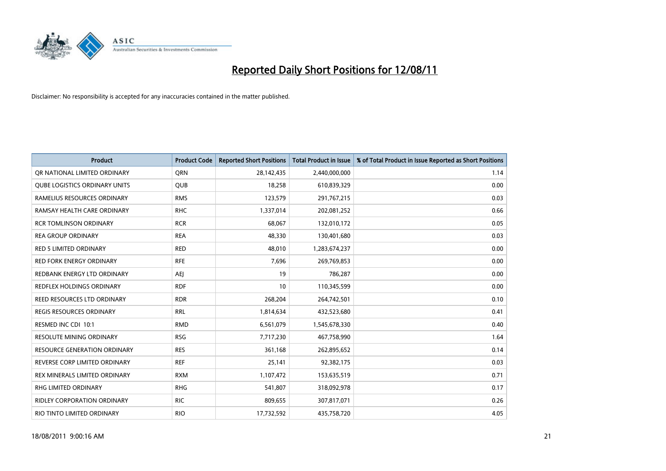

| <b>Product</b>                      | <b>Product Code</b> | <b>Reported Short Positions</b> | Total Product in Issue | % of Total Product in Issue Reported as Short Positions |
|-------------------------------------|---------------------|---------------------------------|------------------------|---------------------------------------------------------|
| OR NATIONAL LIMITED ORDINARY        | <b>ORN</b>          | 28,142,435                      | 2,440,000,000          | 1.14                                                    |
| QUBE LOGISTICS ORDINARY UNITS       | <b>QUB</b>          | 18,258                          | 610,839,329            | 0.00                                                    |
| RAMELIUS RESOURCES ORDINARY         | <b>RMS</b>          | 123,579                         | 291,767,215            | 0.03                                                    |
| RAMSAY HEALTH CARE ORDINARY         | <b>RHC</b>          | 1,337,014                       | 202,081,252            | 0.66                                                    |
| <b>RCR TOMLINSON ORDINARY</b>       | <b>RCR</b>          | 68,067                          | 132,010,172            | 0.05                                                    |
| <b>REA GROUP ORDINARY</b>           | <b>REA</b>          | 48.330                          | 130,401,680            | 0.03                                                    |
| <b>RED 5 LIMITED ORDINARY</b>       | <b>RED</b>          | 48,010                          | 1,283,674,237          | 0.00                                                    |
| <b>RED FORK ENERGY ORDINARY</b>     | <b>RFE</b>          | 7,696                           | 269,769,853            | 0.00                                                    |
| REDBANK ENERGY LTD ORDINARY         | <b>AEI</b>          | 19                              | 786,287                | 0.00                                                    |
| <b>REDFLEX HOLDINGS ORDINARY</b>    | <b>RDF</b>          | 10                              | 110,345,599            | 0.00                                                    |
| REED RESOURCES LTD ORDINARY         | <b>RDR</b>          | 268,204                         | 264,742,501            | 0.10                                                    |
| <b>REGIS RESOURCES ORDINARY</b>     | <b>RRL</b>          | 1,814,634                       | 432,523,680            | 0.41                                                    |
| RESMED INC CDI 10:1                 | <b>RMD</b>          | 6,561,079                       | 1,545,678,330          | 0.40                                                    |
| <b>RESOLUTE MINING ORDINARY</b>     | <b>RSG</b>          | 7,717,230                       | 467,758,990            | 1.64                                                    |
| <b>RESOURCE GENERATION ORDINARY</b> | <b>RES</b>          | 361,168                         | 262,895,652            | 0.14                                                    |
| REVERSE CORP LIMITED ORDINARY       | <b>REF</b>          | 25,141                          | 92,382,175             | 0.03                                                    |
| REX MINERALS LIMITED ORDINARY       | <b>RXM</b>          | 1,107,472                       | 153,635,519            | 0.71                                                    |
| RHG LIMITED ORDINARY                | <b>RHG</b>          | 541,807                         | 318,092,978            | 0.17                                                    |
| <b>RIDLEY CORPORATION ORDINARY</b>  | <b>RIC</b>          | 809,655                         | 307,817,071            | 0.26                                                    |
| RIO TINTO LIMITED ORDINARY          | <b>RIO</b>          | 17,732,592                      | 435,758,720            | 4.05                                                    |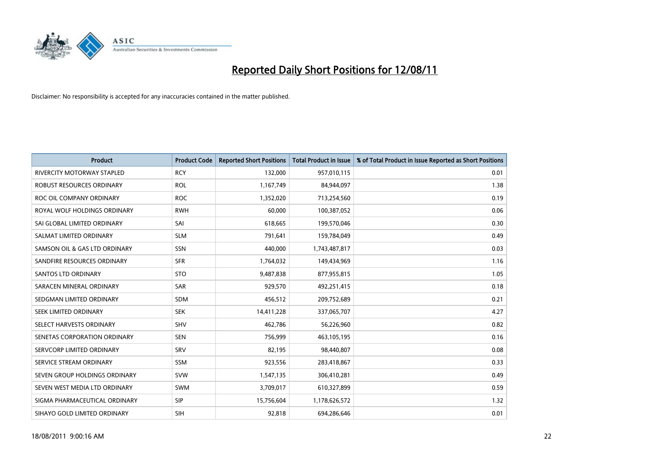

| <b>Product</b>                    | <b>Product Code</b> | <b>Reported Short Positions</b> | Total Product in Issue | % of Total Product in Issue Reported as Short Positions |
|-----------------------------------|---------------------|---------------------------------|------------------------|---------------------------------------------------------|
| <b>RIVERCITY MOTORWAY STAPLED</b> | <b>RCY</b>          | 132,000                         | 957,010,115            | 0.01                                                    |
| ROBUST RESOURCES ORDINARY         | <b>ROL</b>          | 1,167,749                       | 84,944,097             | 1.38                                                    |
| ROC OIL COMPANY ORDINARY          | <b>ROC</b>          | 1,352,020                       | 713,254,560            | 0.19                                                    |
| ROYAL WOLF HOLDINGS ORDINARY      | <b>RWH</b>          | 60,000                          | 100,387,052            | 0.06                                                    |
| SAI GLOBAL LIMITED ORDINARY       | SAI                 | 618,665                         | 199,570,046            | 0.30                                                    |
| SALMAT LIMITED ORDINARY           | <b>SLM</b>          | 791,641                         | 159,784,049            | 0.49                                                    |
| SAMSON OIL & GAS LTD ORDINARY     | SSN                 | 440,000                         | 1,743,487,817          | 0.03                                                    |
| SANDFIRE RESOURCES ORDINARY       | <b>SFR</b>          | 1,764,032                       | 149,434,969            | 1.16                                                    |
| <b>SANTOS LTD ORDINARY</b>        | <b>STO</b>          | 9,487,838                       | 877,955,815            | 1.05                                                    |
| SARACEN MINERAL ORDINARY          | <b>SAR</b>          | 929,570                         | 492,251,415            | 0.18                                                    |
| SEDGMAN LIMITED ORDINARY          | <b>SDM</b>          | 456,512                         | 209,752,689            | 0.21                                                    |
| SEEK LIMITED ORDINARY             | <b>SEK</b>          | 14,411,228                      | 337,065,707            | 4.27                                                    |
| SELECT HARVESTS ORDINARY          | SHV                 | 462,786                         | 56,226,960             | 0.82                                                    |
| SENETAS CORPORATION ORDINARY      | <b>SEN</b>          | 756,999                         | 463,105,195            | 0.16                                                    |
| SERVCORP LIMITED ORDINARY         | SRV                 | 82,195                          | 98,440,807             | 0.08                                                    |
| SERVICE STREAM ORDINARY           | <b>SSM</b>          | 923,556                         | 283,418,867            | 0.33                                                    |
| SEVEN GROUP HOLDINGS ORDINARY     | <b>SVW</b>          | 1,547,135                       | 306,410,281            | 0.49                                                    |
| SEVEN WEST MEDIA LTD ORDINARY     | <b>SWM</b>          | 3,709,017                       | 610,327,899            | 0.59                                                    |
| SIGMA PHARMACEUTICAL ORDINARY     | <b>SIP</b>          | 15,756,604                      | 1,178,626,572          | 1.32                                                    |
| SIHAYO GOLD LIMITED ORDINARY      | <b>SIH</b>          | 92,818                          | 694,286,646            | 0.01                                                    |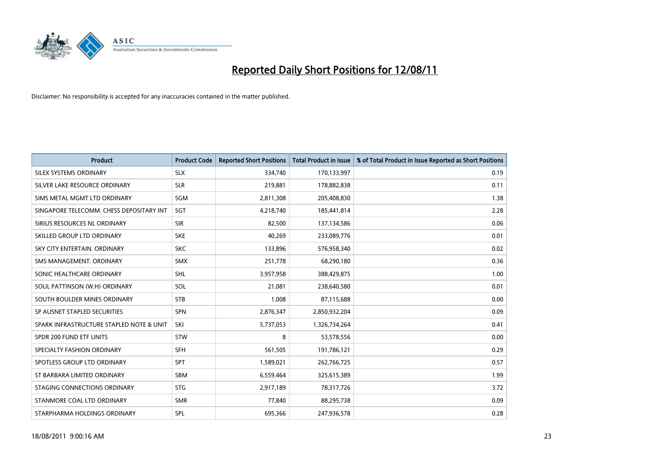

| <b>Product</b>                           | <b>Product Code</b> | <b>Reported Short Positions</b> | <b>Total Product in Issue</b> | % of Total Product in Issue Reported as Short Positions |
|------------------------------------------|---------------------|---------------------------------|-------------------------------|---------------------------------------------------------|
| SILEX SYSTEMS ORDINARY                   | <b>SLX</b>          | 334,740                         | 170,133,997                   | 0.19                                                    |
| SILVER LAKE RESOURCE ORDINARY            | <b>SLR</b>          | 219,881                         | 178,882,838                   | 0.11                                                    |
| SIMS METAL MGMT LTD ORDINARY             | SGM                 | 2,811,308                       | 205,408,830                   | 1.38                                                    |
| SINGAPORE TELECOMM. CHESS DEPOSITARY INT | SGT                 | 4,218,740                       | 185,441,814                   | 2.28                                                    |
| SIRIUS RESOURCES NL ORDINARY             | <b>SIR</b>          | 82,500                          | 137,134,586                   | 0.06                                                    |
| SKILLED GROUP LTD ORDINARY               | <b>SKE</b>          | 40,269                          | 233,089,776                   | 0.01                                                    |
| SKY CITY ENTERTAIN, ORDINARY             | <b>SKC</b>          | 133,896                         | 576,958,340                   | 0.02                                                    |
| SMS MANAGEMENT, ORDINARY                 | <b>SMX</b>          | 251,778                         | 68,290,180                    | 0.36                                                    |
| SONIC HEALTHCARE ORDINARY                | <b>SHL</b>          | 3,957,958                       | 388,429,875                   | 1.00                                                    |
| SOUL PATTINSON (W.H) ORDINARY            | SOL                 | 21,081                          | 238,640,580                   | 0.01                                                    |
| SOUTH BOULDER MINES ORDINARY             | <b>STB</b>          | 1,008                           | 87,115,688                    | 0.00                                                    |
| SP AUSNET STAPLED SECURITIES             | <b>SPN</b>          | 2,876,347                       | 2,850,932,204                 | 0.09                                                    |
| SPARK INFRASTRUCTURE STAPLED NOTE & UNIT | SKI                 | 5,737,053                       | 1,326,734,264                 | 0.41                                                    |
| SPDR 200 FUND ETF UNITS                  | <b>STW</b>          | 8                               | 53,578,556                    | 0.00                                                    |
| SPECIALTY FASHION ORDINARY               | <b>SFH</b>          | 561,505                         | 191,786,121                   | 0.29                                                    |
| SPOTLESS GROUP LTD ORDINARY              | <b>SPT</b>          | 1,589,021                       | 262,766,725                   | 0.57                                                    |
| ST BARBARA LIMITED ORDINARY              | <b>SBM</b>          | 6,559,464                       | 325,615,389                   | 1.99                                                    |
| STAGING CONNECTIONS ORDINARY             | <b>STG</b>          | 2,917,189                       | 78,317,726                    | 3.72                                                    |
| STANMORE COAL LTD ORDINARY               | <b>SMR</b>          | 77,840                          | 88,295,738                    | 0.09                                                    |
| STARPHARMA HOLDINGS ORDINARY             | SPL                 | 695.366                         | 247,936,578                   | 0.28                                                    |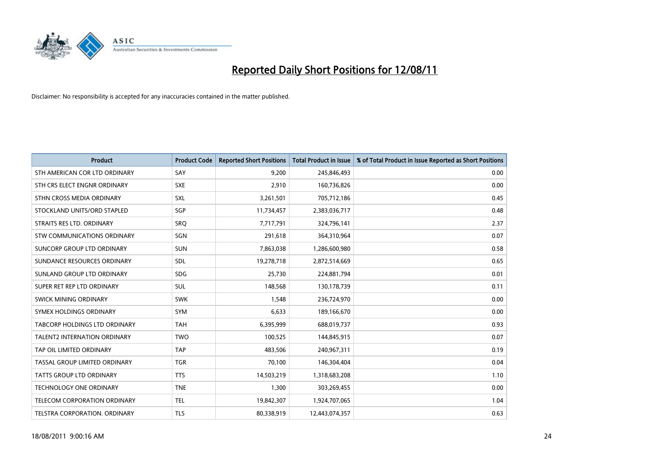

| <b>Product</b>                     | <b>Product Code</b> | <b>Reported Short Positions</b> | <b>Total Product in Issue</b> | % of Total Product in Issue Reported as Short Positions |
|------------------------------------|---------------------|---------------------------------|-------------------------------|---------------------------------------------------------|
| STH AMERICAN COR LTD ORDINARY      | SAY                 | 9,200                           | 245,846,493                   | 0.00                                                    |
| STH CRS ELECT ENGNR ORDINARY       | <b>SXE</b>          | 2,910                           | 160,736,826                   | 0.00                                                    |
| STHN CROSS MEDIA ORDINARY          | <b>SXL</b>          | 3,261,501                       | 705,712,186                   | 0.45                                                    |
| STOCKLAND UNITS/ORD STAPLED        | SGP                 | 11,734,457                      | 2,383,036,717                 | 0.48                                                    |
| STRAITS RES LTD. ORDINARY          | <b>SRO</b>          | 7,717,791                       | 324,796,141                   | 2.37                                                    |
| <b>STW COMMUNICATIONS ORDINARY</b> | SGN                 | 291,618                         | 364,310,964                   | 0.07                                                    |
| SUNCORP GROUP LTD ORDINARY         | <b>SUN</b>          | 7,863,038                       | 1,286,600,980                 | 0.58                                                    |
| SUNDANCE RESOURCES ORDINARY        | <b>SDL</b>          | 19,278,718                      | 2,872,514,669                 | 0.65                                                    |
| SUNLAND GROUP LTD ORDINARY         | <b>SDG</b>          | 25,730                          | 224,881,794                   | 0.01                                                    |
| SUPER RET REP LTD ORDINARY         | <b>SUL</b>          | 148,568                         | 130,178,739                   | 0.11                                                    |
| <b>SWICK MINING ORDINARY</b>       | <b>SWK</b>          | 1,548                           | 236,724,970                   | 0.00                                                    |
| SYMEX HOLDINGS ORDINARY            | SYM                 | 6,633                           | 189,166,670                   | 0.00                                                    |
| TABCORP HOLDINGS LTD ORDINARY      | <b>TAH</b>          | 6,395,999                       | 688,019,737                   | 0.93                                                    |
| TALENT2 INTERNATION ORDINARY       | <b>TWO</b>          | 100,525                         | 144,845,915                   | 0.07                                                    |
| TAP OIL LIMITED ORDINARY           | <b>TAP</b>          | 483,506                         | 240,967,311                   | 0.19                                                    |
| TASSAL GROUP LIMITED ORDINARY      | <b>TGR</b>          | 70,100                          | 146,304,404                   | 0.04                                                    |
| TATTS GROUP LTD ORDINARY           | <b>TTS</b>          | 14,503,219                      | 1,318,683,208                 | 1.10                                                    |
| TECHNOLOGY ONE ORDINARY            | <b>TNE</b>          | 1,300                           | 303,269,455                   | 0.00                                                    |
| TELECOM CORPORATION ORDINARY       | <b>TEL</b>          | 19,842,307                      | 1,924,707,065                 | 1.04                                                    |
| TELSTRA CORPORATION. ORDINARY      | <b>TLS</b>          | 80,338,919                      | 12,443,074,357                | 0.63                                                    |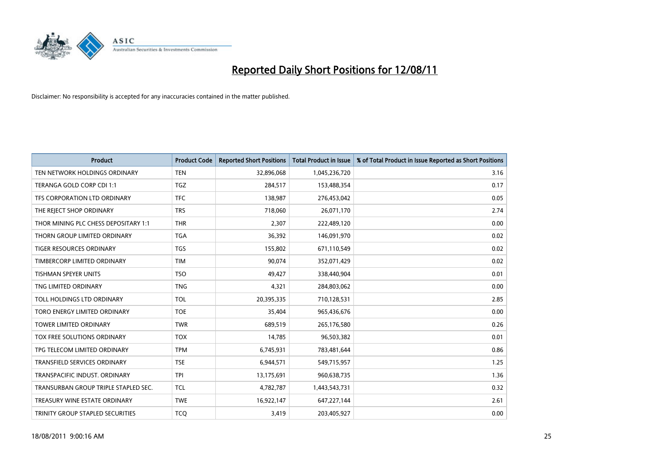

| <b>Product</b>                       | <b>Product Code</b> | <b>Reported Short Positions</b> | <b>Total Product in Issue</b> | % of Total Product in Issue Reported as Short Positions |
|--------------------------------------|---------------------|---------------------------------|-------------------------------|---------------------------------------------------------|
| TEN NETWORK HOLDINGS ORDINARY        | <b>TEN</b>          | 32,896,068                      | 1,045,236,720                 | 3.16                                                    |
| TERANGA GOLD CORP CDI 1:1            | <b>TGZ</b>          | 284,517                         | 153,488,354                   | 0.17                                                    |
| TFS CORPORATION LTD ORDINARY         | <b>TFC</b>          | 138,987                         | 276,453,042                   | 0.05                                                    |
| THE REJECT SHOP ORDINARY             | <b>TRS</b>          | 718,060                         | 26,071,170                    | 2.74                                                    |
| THOR MINING PLC CHESS DEPOSITARY 1:1 | <b>THR</b>          | 2,307                           | 222,489,120                   | 0.00                                                    |
| THORN GROUP LIMITED ORDINARY         | <b>TGA</b>          | 36,392                          | 146,091,970                   | 0.02                                                    |
| <b>TIGER RESOURCES ORDINARY</b>      | <b>TGS</b>          | 155,802                         | 671,110,549                   | 0.02                                                    |
| TIMBERCORP LIMITED ORDINARY          | <b>TIM</b>          | 90,074                          | 352,071,429                   | 0.02                                                    |
| <b>TISHMAN SPEYER UNITS</b>          | <b>TSO</b>          | 49,427                          | 338,440,904                   | 0.01                                                    |
| TNG LIMITED ORDINARY                 | <b>TNG</b>          | 4,321                           | 284,803,062                   | 0.00                                                    |
| TOLL HOLDINGS LTD ORDINARY           | <b>TOL</b>          | 20,395,335                      | 710,128,531                   | 2.85                                                    |
| TORO ENERGY LIMITED ORDINARY         | <b>TOE</b>          | 35,404                          | 965,436,676                   | 0.00                                                    |
| <b>TOWER LIMITED ORDINARY</b>        | <b>TWR</b>          | 689,519                         | 265,176,580                   | 0.26                                                    |
| <b>TOX FREE SOLUTIONS ORDINARY</b>   | <b>TOX</b>          | 14,785                          | 96,503,382                    | 0.01                                                    |
| TPG TELECOM LIMITED ORDINARY         | <b>TPM</b>          | 6,745,931                       | 783,481,644                   | 0.86                                                    |
| TRANSFIELD SERVICES ORDINARY         | <b>TSE</b>          | 6,944,571                       | 549,715,957                   | 1.25                                                    |
| TRANSPACIFIC INDUST. ORDINARY        | <b>TPI</b>          | 13,175,691                      | 960,638,735                   | 1.36                                                    |
| TRANSURBAN GROUP TRIPLE STAPLED SEC. | <b>TCL</b>          | 4,782,787                       | 1,443,543,731                 | 0.32                                                    |
| TREASURY WINE ESTATE ORDINARY        | <b>TWE</b>          | 16,922,147                      | 647,227,144                   | 2.61                                                    |
| TRINITY GROUP STAPLED SECURITIES     | <b>TCQ</b>          | 3,419                           | 203,405,927                   | 0.00                                                    |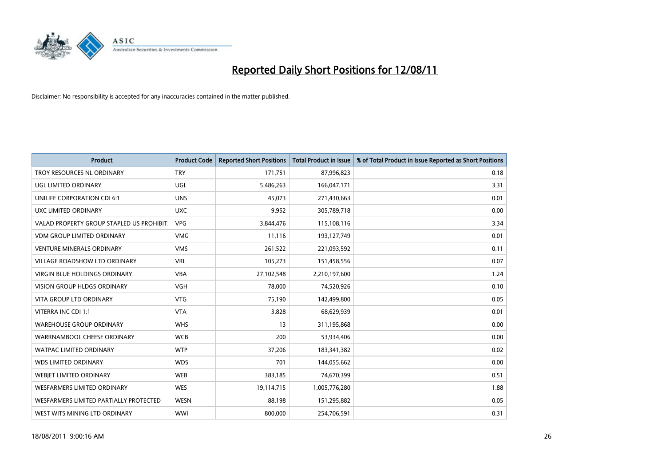

| <b>Product</b>                            | <b>Product Code</b> | <b>Reported Short Positions</b> | <b>Total Product in Issue</b> | % of Total Product in Issue Reported as Short Positions |
|-------------------------------------------|---------------------|---------------------------------|-------------------------------|---------------------------------------------------------|
| TROY RESOURCES NL ORDINARY                | <b>TRY</b>          | 171,751                         | 87,996,823                    | 0.18                                                    |
| UGL LIMITED ORDINARY                      | UGL                 | 5,486,263                       | 166,047,171                   | 3.31                                                    |
| UNILIFE CORPORATION CDI 6:1               | <b>UNS</b>          | 45.073                          | 271,430,663                   | 0.01                                                    |
| UXC LIMITED ORDINARY                      | <b>UXC</b>          | 9,952                           | 305,789,718                   | 0.00                                                    |
| VALAD PROPERTY GROUP STAPLED US PROHIBIT. | <b>VPG</b>          | 3,844,476                       | 115,108,116                   | 3.34                                                    |
| <b>VDM GROUP LIMITED ORDINARY</b>         | <b>VMG</b>          | 11,116                          | 193,127,749                   | 0.01                                                    |
| <b>VENTURE MINERALS ORDINARY</b>          | <b>VMS</b>          | 261,522                         | 221,093,592                   | 0.11                                                    |
| <b>VILLAGE ROADSHOW LTD ORDINARY</b>      | <b>VRL</b>          | 105,273                         | 151,458,556                   | 0.07                                                    |
| <b>VIRGIN BLUE HOLDINGS ORDINARY</b>      | <b>VBA</b>          | 27,102,548                      | 2,210,197,600                 | 1.24                                                    |
| <b>VISION GROUP HLDGS ORDINARY</b>        | <b>VGH</b>          | 78,000                          | 74,520,926                    | 0.10                                                    |
| VITA GROUP LTD ORDINARY                   | <b>VTG</b>          | 75,190                          | 142,499,800                   | 0.05                                                    |
| VITERRA INC CDI 1:1                       | <b>VTA</b>          | 3,828                           | 68,629,939                    | 0.01                                                    |
| <b>WAREHOUSE GROUP ORDINARY</b>           | <b>WHS</b>          | 13                              | 311,195,868                   | 0.00                                                    |
| WARRNAMBOOL CHEESE ORDINARY               | <b>WCB</b>          | 200                             | 53,934,406                    | 0.00                                                    |
| <b>WATPAC LIMITED ORDINARY</b>            | <b>WTP</b>          | 37,206                          | 183,341,382                   | 0.02                                                    |
| <b>WDS LIMITED ORDINARY</b>               | <b>WDS</b>          | 701                             | 144,055,662                   | 0.00                                                    |
| <b>WEBIET LIMITED ORDINARY</b>            | <b>WEB</b>          | 383,185                         | 74,670,399                    | 0.51                                                    |
| <b>WESFARMERS LIMITED ORDINARY</b>        | <b>WES</b>          | 19,114,715                      | 1,005,776,280                 | 1.88                                                    |
| WESFARMERS LIMITED PARTIALLY PROTECTED    | <b>WESN</b>         | 88,198                          | 151,295,882                   | 0.05                                                    |
| WEST WITS MINING LTD ORDINARY             | WWI                 | 800,000                         | 254,706,591                   | 0.31                                                    |